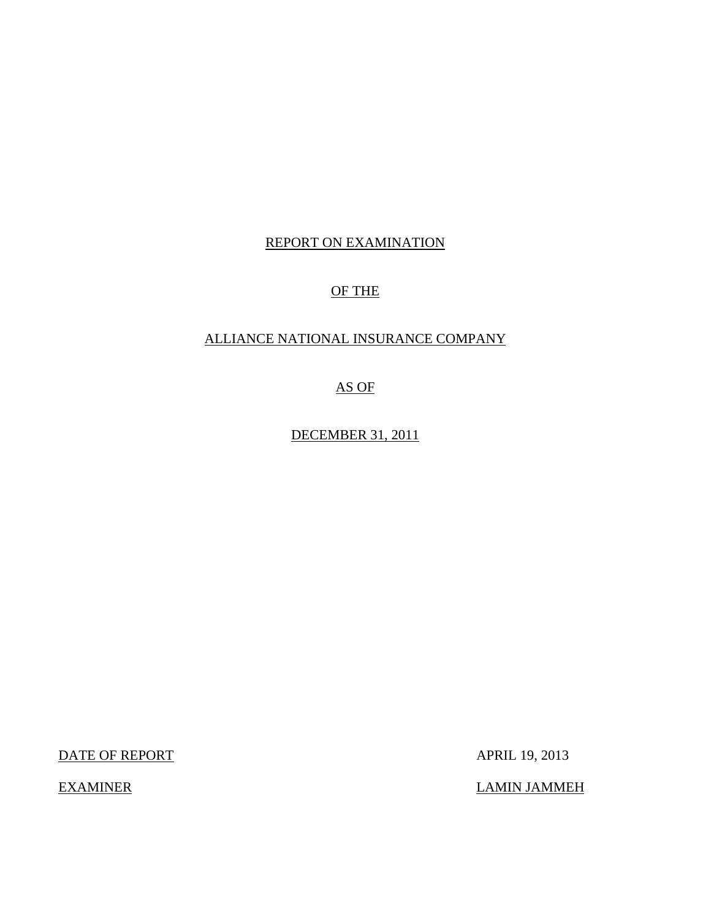## REPORT ON EXAMINATION

# OF THE

## ALLIANCE NATIONAL INSURANCE COMPANY

AS OF

DECEMBER 31, 2011

DATE OF REPORT APRIL 19, 2013

EXAMINER LAMIN JAMMEH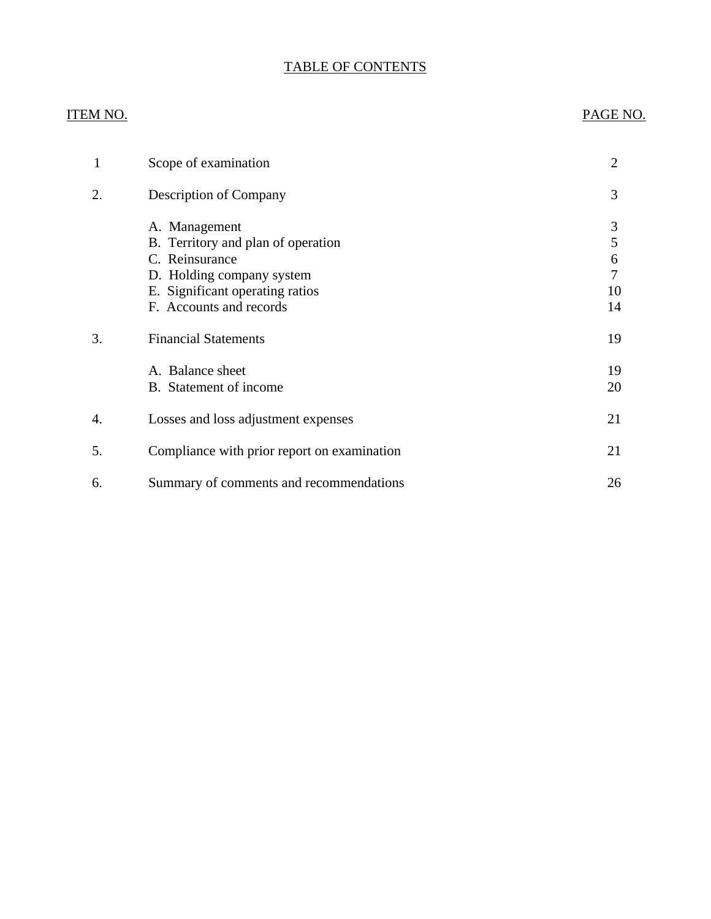# TABLE OF CONTENTS

## ITEM NO. PAGE NO.

| 1  | Scope of examination                                                                                                                                             | $\overline{2}$               |
|----|------------------------------------------------------------------------------------------------------------------------------------------------------------------|------------------------------|
| 2. | Description of Company                                                                                                                                           | 3                            |
|    | A. Management<br>B. Territory and plan of operation<br>C. Reinsurance<br>D. Holding company system<br>E. Significant operating ratios<br>F. Accounts and records | 3<br>5<br>6<br>7<br>10<br>14 |
| 3. | <b>Financial Statements</b>                                                                                                                                      | 19                           |
|    | A. Balance sheet<br>B. Statement of income                                                                                                                       | 19<br>20                     |
| 4. | Losses and loss adjustment expenses                                                                                                                              | 21                           |
| 5. | Compliance with prior report on examination                                                                                                                      | 21                           |
| 6. | Summary of comments and recommendations                                                                                                                          | 26                           |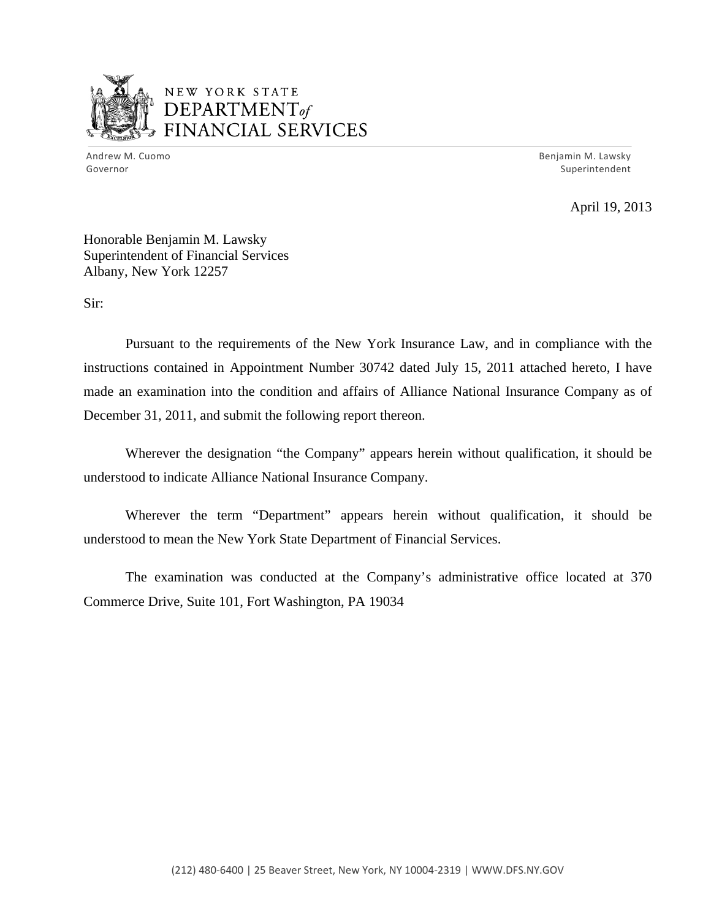

# NEW YORK STATE  $\mathbf{DEPARTMENT}$ *~,........,,* FINANCIAL SERVICES

Andrew M. Cuomo **Benjamin M. Lawsky** Governor Superintendent

April 19, 2013

Honorable Benjamin M. Lawsky Superintendent of Financial Services Albany, New York 12257

Sir:

Pursuant to the requirements of the New York Insurance Law, and in compliance with the instructions contained in Appointment Number 30742 dated July 15, 2011 attached hereto, I have made an examination into the condition and affairs of Alliance National Insurance Company as of December 31, 2011, and submit the following report thereon.

Wherever the designation "the Company" appears herein without qualification, it should be understood to indicate Alliance National Insurance Company.

Wherever the term "Department" appears herein without qualification, it should be understood to mean the New York State Department of Financial Services.

The examination was conducted at the Company's administrative office located at 370 Commerce Drive, Suite 101, Fort Washington, PA 19034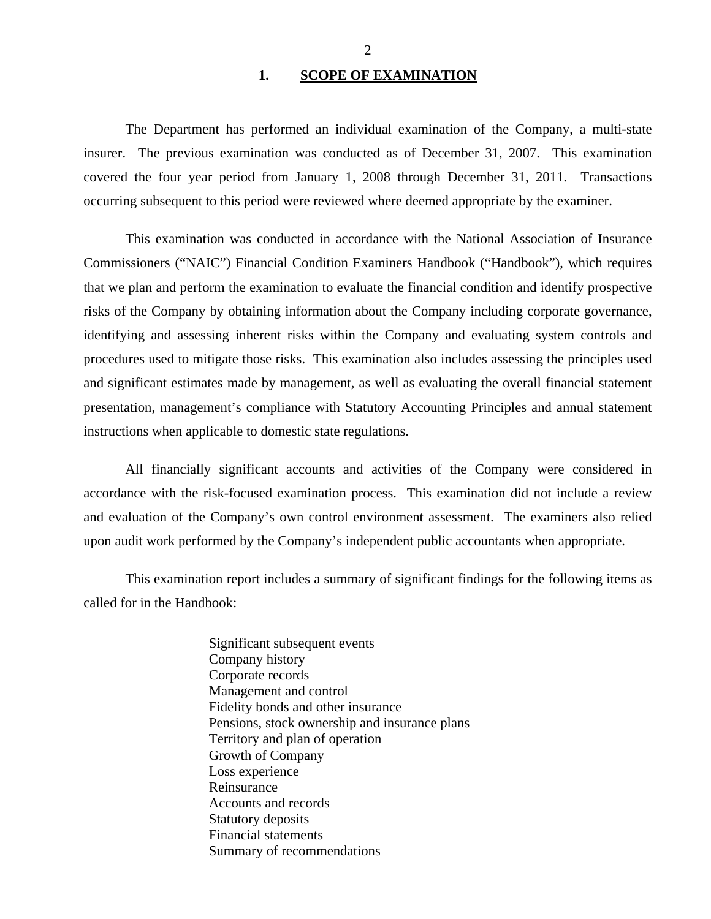### 1. SCOPE OF EXAMINATION

<span id="page-3-0"></span>The Department has performed an individual examination of the Company, a multi-state insurer. The previous examination was conducted as of December 31, 2007. This examination covered the four year period from January 1, 2008 through December 31, 2011. Transactions occurring subsequent to this period were reviewed where deemed appropriate by the examiner.

This examination was conducted in accordance with the National Association of Insurance Commissioners ("NAIC") Financial Condition Examiners Handbook ("Handbook"), which requires that we plan and perform the examination to evaluate the financial condition and identify prospective risks of the Company by obtaining information about the Company including corporate governance, identifying and assessing inherent risks within the Company and evaluating system controls and procedures used to mitigate those risks. This examination also includes assessing the principles used and significant estimates made by management, as well as evaluating the overall financial statement presentation, management's compliance with Statutory Accounting Principles and annual statement instructions when applicable to domestic state regulations.

All financially significant accounts and activities of the Company were considered in accordance with the risk-focused examination process. This examination did not include a review and evaluation of the Company's own control environment assessment. The examiners also relied upon audit work performed by the Company's independent public accountants when appropriate.

This examination report includes a summary of significant findings for the following items as called for in the Handbook:

> Significant subsequent events Company history Corporate records Management and control Fidelity bonds and other insurance Pensions, stock ownership and insurance plans Territory and plan of operation Growth of Company Loss experience Reinsurance Accounts and records Statutory deposits Financial statements Summary of recommendations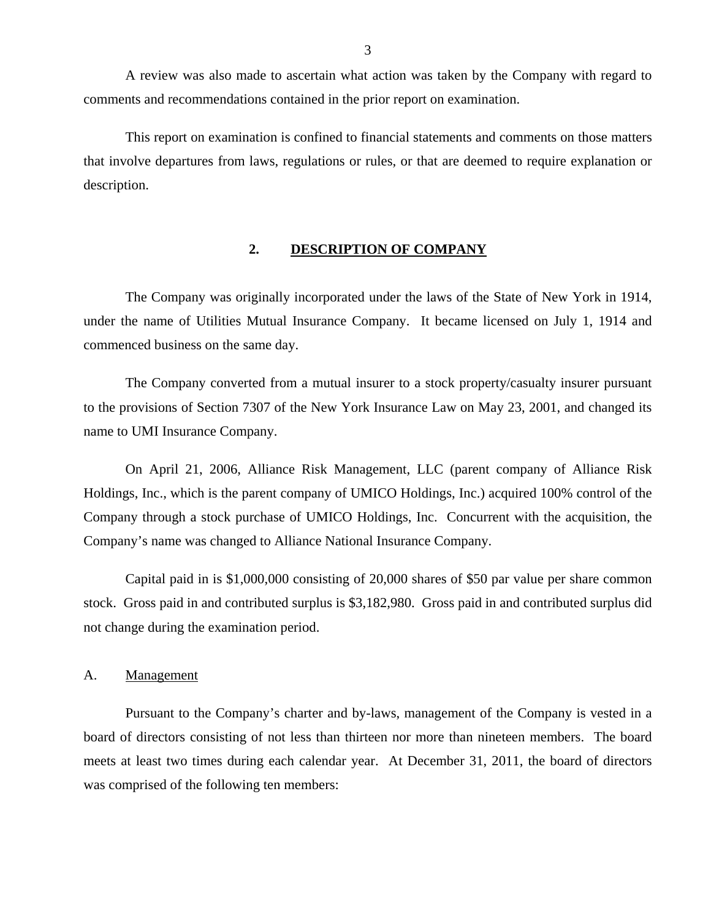<span id="page-4-0"></span>A review was also made to ascertain what action was taken by the Company with regard to comments and recommendations contained in the prior report on examination.

This report on examination is confined to financial statements and comments on those matters that involve departures from laws, regulations or rules, or that are deemed to require explanation or description.

## **2. DESCRIPTION OF COMPANY**

The Company was originally incorporated under the laws of the State of New York in 1914, under the name of Utilities Mutual Insurance Company. It became licensed on July 1, 1914 and commenced business on the same day.

The Company converted from a mutual insurer to a stock property/casualty insurer pursuant to the provisions of Section 7307 of the New York Insurance Law on May 23, 2001, and changed its name to UMI Insurance Company.

On April 21, 2006, Alliance Risk Management, LLC (parent company of Alliance Risk Holdings, Inc., which is the parent company of UMICO Holdings, Inc.) acquired 100% control of the Company through a stock purchase of UMICO Holdings, Inc. Concurrent with the acquisition, the Company's name was changed to Alliance National Insurance Company.

Capital paid in is \$1,000,000 consisting of 20,000 shares of \$50 par value per share common stock. Gross paid in and contributed surplus is \$3,182,980. Gross paid in and contributed surplus did not change during the examination period.

#### A. Management

Pursuant to the Company's charter and by-laws, management of the Company is vested in a board of directors consisting of not less than thirteen nor more than nineteen members. The board meets at least two times during each calendar year. At December 31, 2011, the board of directors was comprised of the following ten members: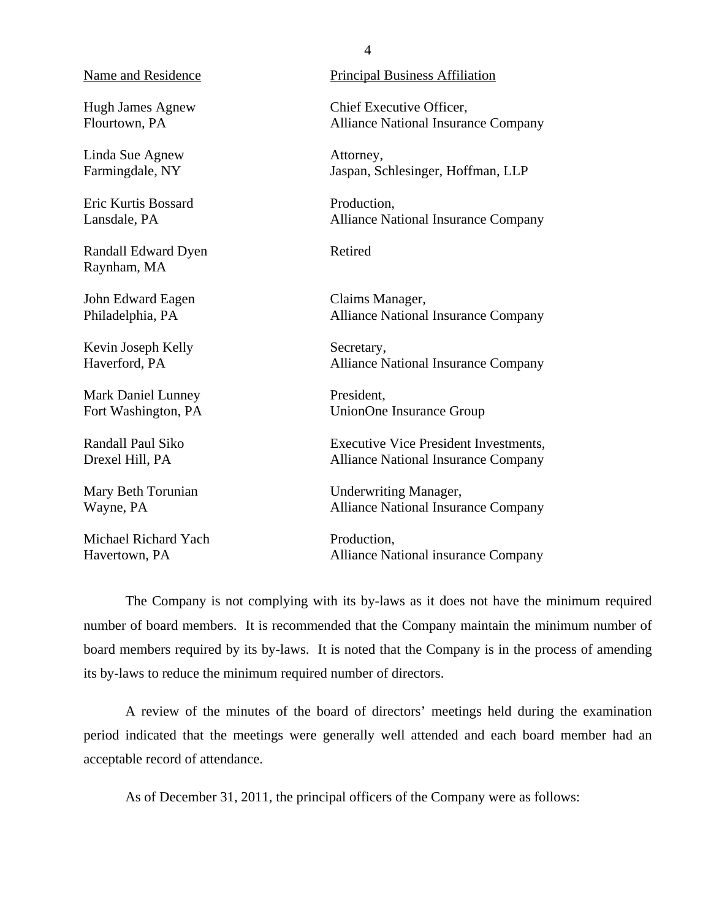Hugh James Agnew Flourtown, PA

Linda Sue Agnew Farmingdale, NY

Eric Kurtis Bossard Lansdale, PA

Randall Edward Dyen Raynham, MA

John Edward Eagen Philadelphia, PA

Kevin Joseph Kelly Haverford, PA

Mark Daniel Lunney Fort Washington, PA

Randall Paul Siko Drexel Hill, PA

Mary Beth Torunian Wayne, PA

Michael Richard Yach Havertown, PA

Name and Residence Principal Business Affiliation

Chief Executive Officer, Alliance National Insurance Company

Attorney, Jaspan, Schlesinger, Hoffman, LLP

Production, Alliance National Insurance Company

Retired

Claims Manager, Alliance National Insurance Company

Secretary, Alliance National Insurance Company

President, UnionOne Insurance Group

Executive Vice President Investments, Alliance National Insurance Company

Underwriting Manager, Alliance National Insurance Company

Production, Alliance National insurance Company

The Company is not complying with its by-laws as it does not have the minimum required number of board members. It is recommended that the Company maintain the minimum number of board members required by its by-laws. It is noted that the Company is in the process of amending its by-laws to reduce the minimum required number of directors.

A review of the minutes of the board of directors' meetings held during the examination period indicated that the meetings were generally well attended and each board member had an acceptable record of attendance.

As of December 31, 2011, the principal officers of the Company were as follows: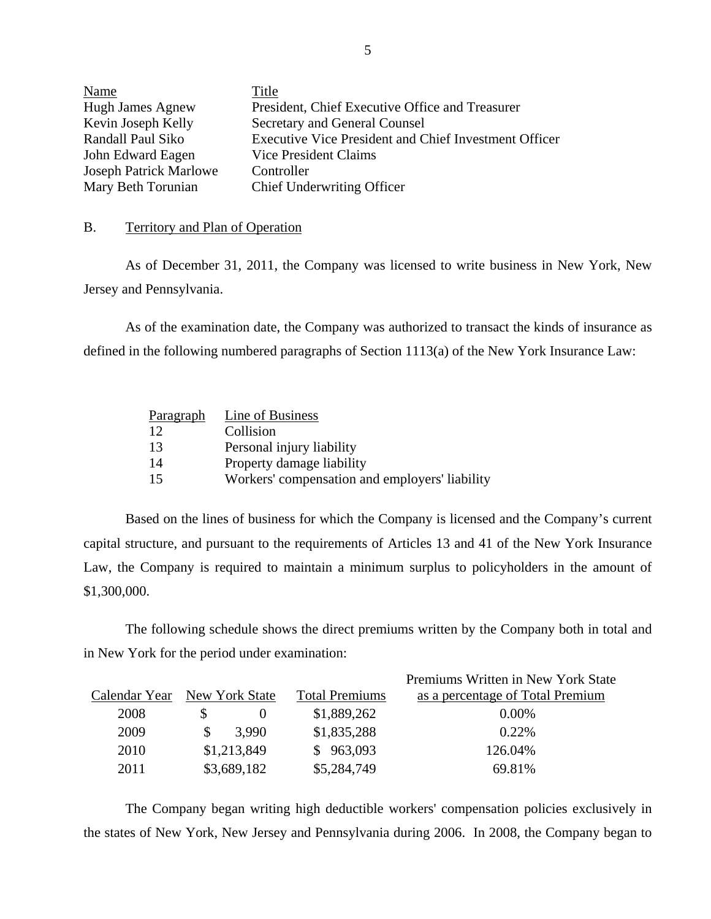| Name                          | Title                                                        |
|-------------------------------|--------------------------------------------------------------|
| <b>Hugh James Agnew</b>       | President, Chief Executive Office and Treasurer              |
| Kevin Joseph Kelly            | Secretary and General Counsel                                |
| Randall Paul Siko             | <b>Executive Vice President and Chief Investment Officer</b> |
| John Edward Eagen             | Vice President Claims                                        |
| <b>Joseph Patrick Marlowe</b> | Controller                                                   |
| Mary Beth Torunian            | <b>Chief Underwriting Officer</b>                            |

#### B. Territory and Plan of Operation

As of December 31, 2011, the Company was licensed to write business in New York, New Jersey and Pennsylvania.

As of the examination date, the Company was authorized to transact the kinds of insurance as defined in the following numbered paragraphs of Section 1113(a) of the New York Insurance Law:

| Paragraph | Line of Business                               |
|-----------|------------------------------------------------|
| 12        | Collision                                      |
| 13        | Personal injury liability                      |
| 14        | Property damage liability                      |
| 15        | Workers' compensation and employers' liability |

Based on the lines of business for which the Company is licensed and the Company's current capital structure, and pursuant to the requirements of Articles 13 and 41 of the New York Insurance Law, the Company is required to maintain a minimum surplus to policyholders in the amount of \$1,300,000.

The following schedule shows the direct premiums written by the Company both in total and in New York for the period under examination:

|               |                |                       | Premiums Written in New York State |
|---------------|----------------|-----------------------|------------------------------------|
| Calendar Year | New York State | <b>Total Premiums</b> | as a percentage of Total Premium   |
| 2008          |                | \$1,889,262           | $0.00\%$                           |
| 2009          | 3.990          | \$1,835,288           | 0.22%                              |
| 2010          | \$1,213,849    | \$963,093             | 126.04%                            |
| 2011          | \$3,689,182    | \$5,284,749           | 69.81%                             |

The Company began writing high deductible workers' compensation policies exclusively in the states of New York, New Jersey and Pennsylvania during 2006. In 2008, the Company began to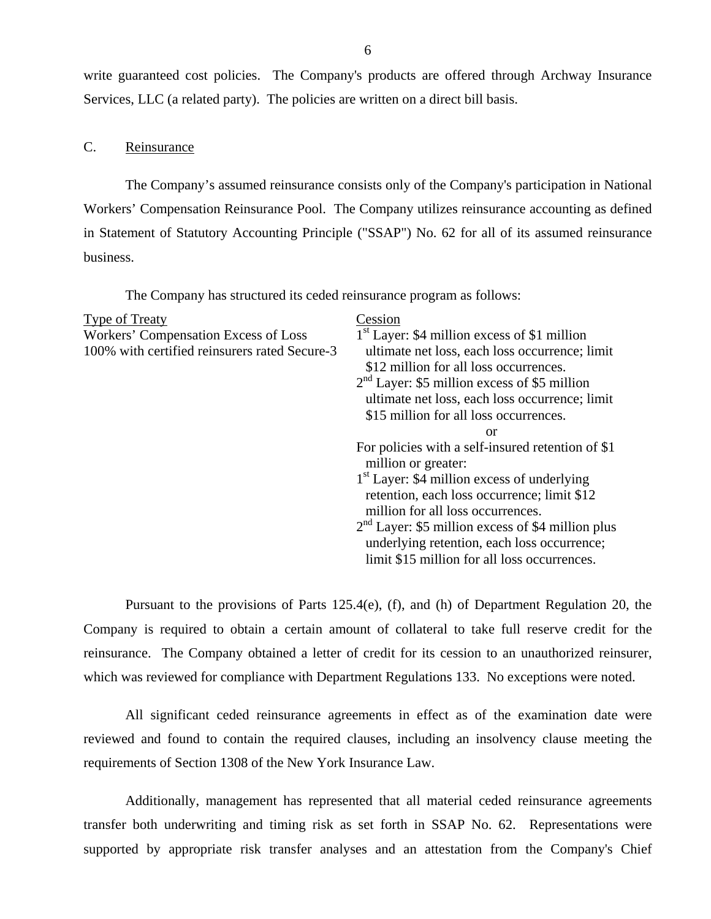<span id="page-7-0"></span>write guaranteed cost policies. The Company's products are offered through Archway Insurance Services, LLC (a related party). The policies are written on a direct bill basis.

## C. Reinsurance

The Company's assumed reinsurance consists only of the Company's participation in National Workers' Compensation Reinsurance Pool. The Company utilizes reinsurance accounting as defined in Statement of Statutory Accounting Principle ("SSAP") No. 62 for all of its assumed reinsurance business.

The Company has structured its ceded reinsurance program as follows:

| <b>Type of Treaty</b><br>Workers' Compensation Excess of Loss<br>100% with certified reinsurers rated Secure-3 | Cession<br>$1st$ Layer: \$4 million excess of \$1 million<br>ultimate net loss, each loss occurrence; limit<br>\$12 million for all loss occurrences.<br>$2nd Layer: $5 million excess of $5 million$<br>ultimate net loss, each loss occurrence; limit<br>\$15 million for all loss occurrences.                                                                                |
|----------------------------------------------------------------------------------------------------------------|----------------------------------------------------------------------------------------------------------------------------------------------------------------------------------------------------------------------------------------------------------------------------------------------------------------------------------------------------------------------------------|
|                                                                                                                | <b>or</b><br>For policies with a self-insured retention of \$1<br>million or greater:<br>$1st$ Layer: \$4 million excess of underlying<br>retention, each loss occurrence; limit \$12<br>million for all loss occurrences.<br>$2nd$ Layer: \$5 million excess of \$4 million plus<br>underlying retention, each loss occurrence;<br>limit \$15 million for all loss occurrences. |

Pursuant to the provisions of Parts 125.4(e), (f), and (h) of Department Regulation 20, the Company is required to obtain a certain amount of collateral to take full reserve credit for the reinsurance. The Company obtained a letter of credit for its cession to an unauthorized reinsurer, which was reviewed for compliance with Department Regulations 133. No exceptions were noted.

All significant ceded reinsurance agreements in effect as of the examination date were reviewed and found to contain the required clauses, including an insolvency clause meeting the requirements of Section 1308 of the New York Insurance Law.

Additionally, management has represented that all material ceded reinsurance agreements transfer both underwriting and timing risk as set forth in SSAP No. 62. Representations were supported by appropriate risk transfer analyses and an attestation from the Company's Chief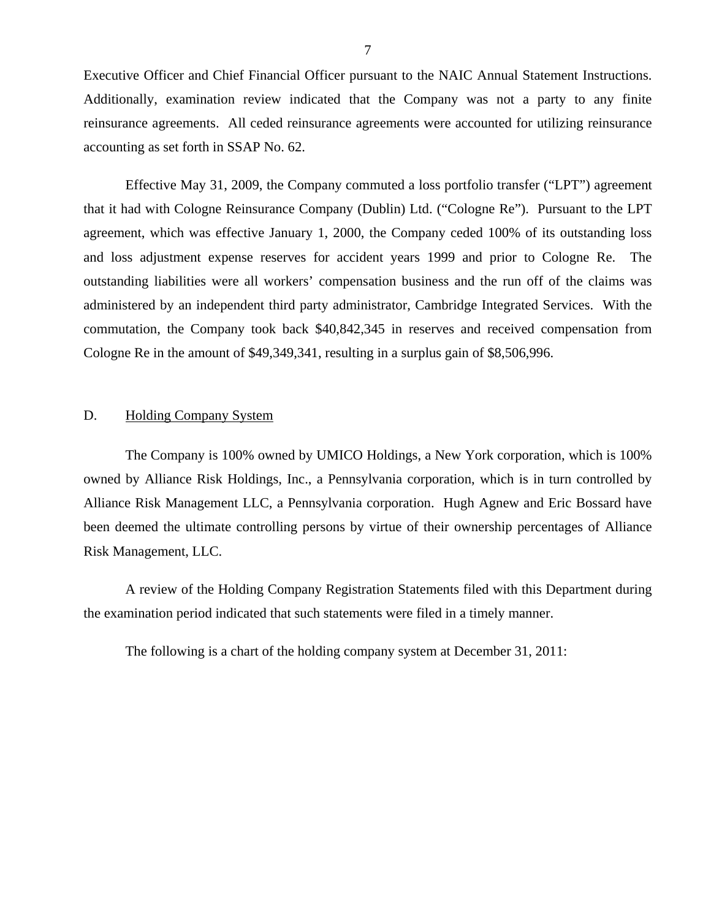<span id="page-8-0"></span>Executive Officer and Chief Financial Officer pursuant to the NAIC Annual Statement Instructions. Additionally, examination review indicated that the Company was not a party to any finite reinsurance agreements. All ceded reinsurance agreements were accounted for utilizing reinsurance accounting as set forth in SSAP No. 62.

Effective May 31, 2009, the Company commuted a loss portfolio transfer ("LPT") agreement that it had with Cologne Reinsurance Company (Dublin) Ltd. ("Cologne Re"). Pursuant to the LPT agreement, which was effective January 1, 2000, the Company ceded 100% of its outstanding loss and loss adjustment expense reserves for accident years 1999 and prior to Cologne Re. The outstanding liabilities were all workers' compensation business and the run off of the claims was administered by an independent third party administrator, Cambridge Integrated Services. With the commutation, the Company took back \$40,842,345 in reserves and received compensation from Cologne Re in the amount of \$49,349,341, resulting in a surplus gain of \$8,506,996.

## D. Holding Company System

The Company is 100% owned by UMICO Holdings, a New York corporation, which is 100% owned by Alliance Risk Holdings, Inc., a Pennsylvania corporation, which is in turn controlled by Alliance Risk Management LLC, a Pennsylvania corporation. Hugh Agnew and Eric Bossard have been deemed the ultimate controlling persons by virtue of their ownership percentages of Alliance Risk Management, LLC.

A review of the Holding Company Registration Statements filed with this Department during the examination period indicated that such statements were filed in a timely manner.

The following is a chart of the holding company system at December 31, 2011: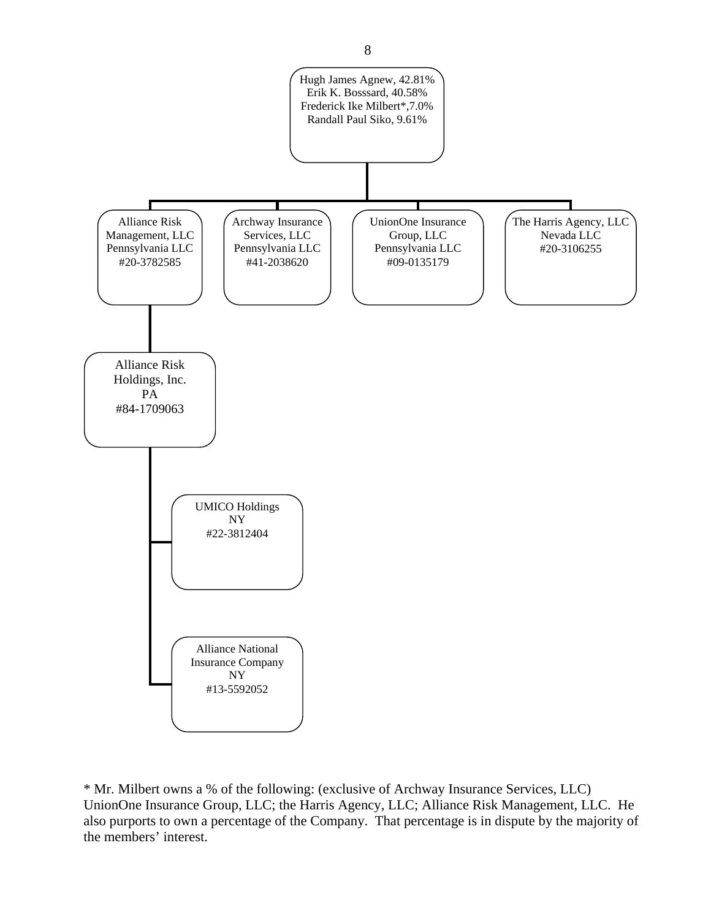

\* Mr. Milbert owns a % of the following: (exclusive of Archway Insurance Services, LLC) UnionOne Insurance Group, LLC; the Harris Agency, LLC; Alliance Risk Management, LLC. He also purports to own a percentage of the Company. That percentage is in dispute by the majority of the members' interest.

8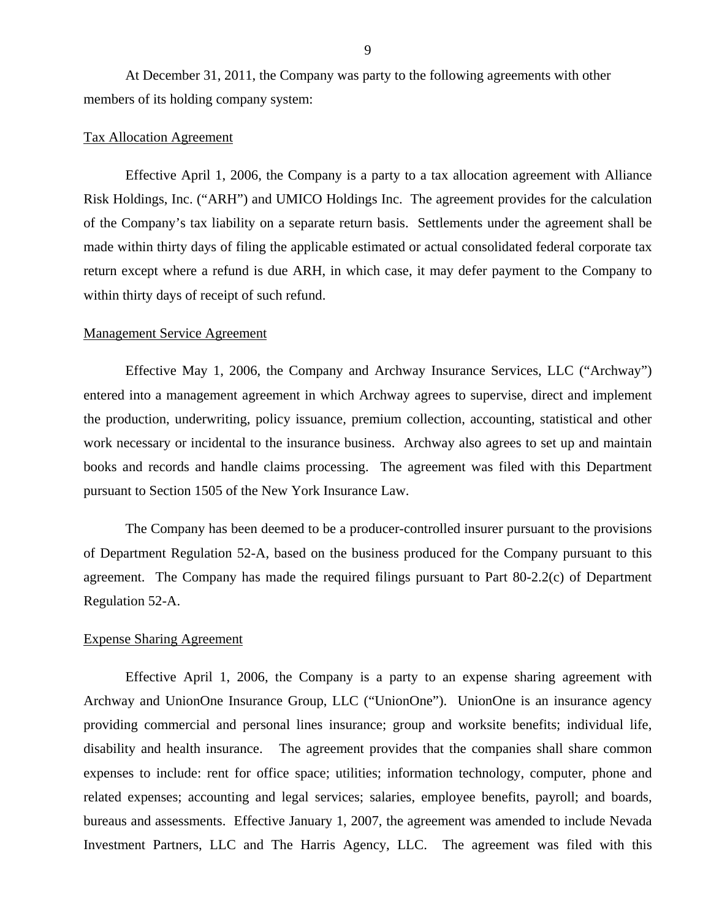At December 31, 2011, the Company was party to the following agreements with other members of its holding company system:

#### Tax Allocation Agreement

Effective April 1, 2006, the Company is a party to a tax allocation agreement with Alliance Risk Holdings, Inc. ("ARH") and UMICO Holdings Inc. The agreement provides for the calculation of the Company's tax liability on a separate return basis. Settlements under the agreement shall be made within thirty days of filing the applicable estimated or actual consolidated federal corporate tax return except where a refund is due ARH, in which case, it may defer payment to the Company to within thirty days of receipt of such refund.

#### Management Service Agreement

Effective May 1, 2006, the Company and Archway Insurance Services, LLC ("Archway") entered into a management agreement in which Archway agrees to supervise, direct and implement the production, underwriting, policy issuance, premium collection, accounting, statistical and other work necessary or incidental to the insurance business. Archway also agrees to set up and maintain books and records and handle claims processing. The agreement was filed with this Department pursuant to Section 1505 of the New York Insurance Law.

The Company has been deemed to be a producer-controlled insurer pursuant to the provisions of Department Regulation 52-A, based on the business produced for the Company pursuant to this agreement. The Company has made the required filings pursuant to Part 80-2.2(c) of Department Regulation 52-A.

## Expense Sharing Agreement

Effective April 1, 2006, the Company is a party to an expense sharing agreement with Archway and UnionOne Insurance Group, LLC ("UnionOne"). UnionOne is an insurance agency providing commercial and personal lines insurance; group and worksite benefits; individual life, disability and health insurance. The agreement provides that the companies shall share common expenses to include: rent for office space; utilities; information technology, computer, phone and related expenses; accounting and legal services; salaries, employee benefits, payroll; and boards, bureaus and assessments. Effective January 1, 2007, the agreement was amended to include Nevada Investment Partners, LLC and The Harris Agency, LLC. The agreement was filed with this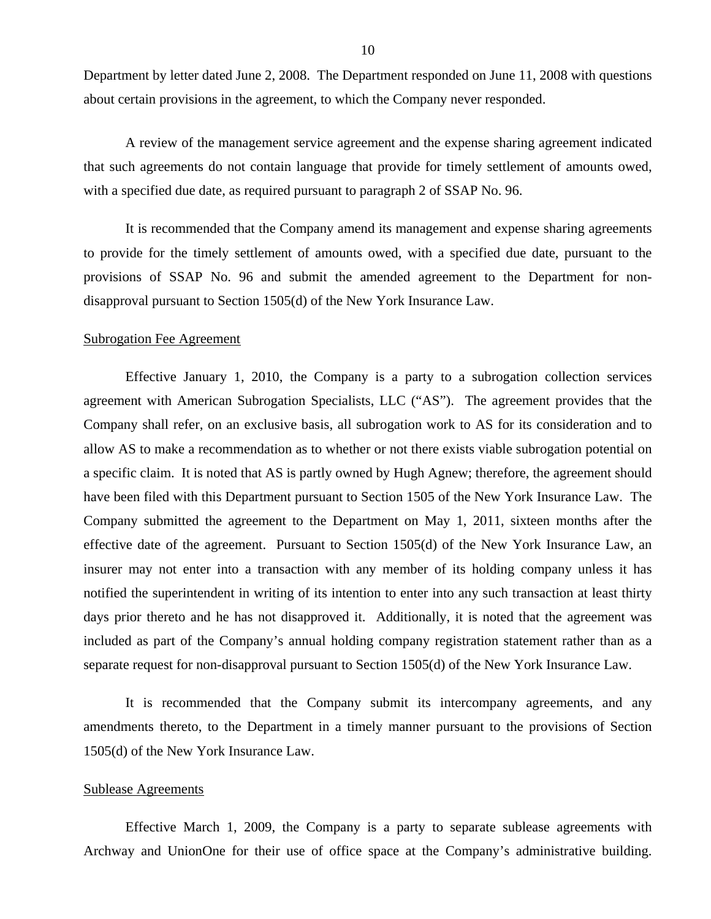<span id="page-11-0"></span>Department by letter dated June 2, 2008. The Department responded on June 11, 2008 with questions about certain provisions in the agreement, to which the Company never responded.

A review of the management service agreement and the expense sharing agreement indicated that such agreements do not contain language that provide for timely settlement of amounts owed, with a specified due date, as required pursuant to paragraph 2 of SSAP No. 96.

It is recommended that the Company amend its management and expense sharing agreements to provide for the timely settlement of amounts owed, with a specified due date, pursuant to the provisions of SSAP No. 96 and submit the amended agreement to the Department for nondisapproval pursuant to Section 1505(d) of the New York Insurance Law.

#### Subrogation Fee Agreement

Effective January 1, 2010, the Company is a party to a subrogation collection services agreement with American Subrogation Specialists, LLC ("AS"). The agreement provides that the Company shall refer, on an exclusive basis, all subrogation work to AS for its consideration and to allow AS to make a recommendation as to whether or not there exists viable subrogation potential on a specific claim. It is noted that AS is partly owned by Hugh Agnew; therefore, the agreement should have been filed with this Department pursuant to Section 1505 of the New York Insurance Law. The Company submitted the agreement to the Department on May 1, 2011, sixteen months after the effective date of the agreement. Pursuant to Section 1505(d) of the New York Insurance Law, an insurer may not enter into a transaction with any member of its holding company unless it has notified the superintendent in writing of its intention to enter into any such transaction at least thirty days prior thereto and he has not disapproved it. Additionally, it is noted that the agreement was included as part of the Company's annual holding company registration statement rather than as a separate request for non-disapproval pursuant to Section 1505(d) of the New York Insurance Law.

It is recommended that the Company submit its intercompany agreements, and any amendments thereto, to the Department in a timely manner pursuant to the provisions of Section 1505(d) of the New York Insurance Law.

#### Sublease Agreements

Effective March 1, 2009, the Company is a party to separate sublease agreements with Archway and UnionOne for their use of office space at the Company's administrative building.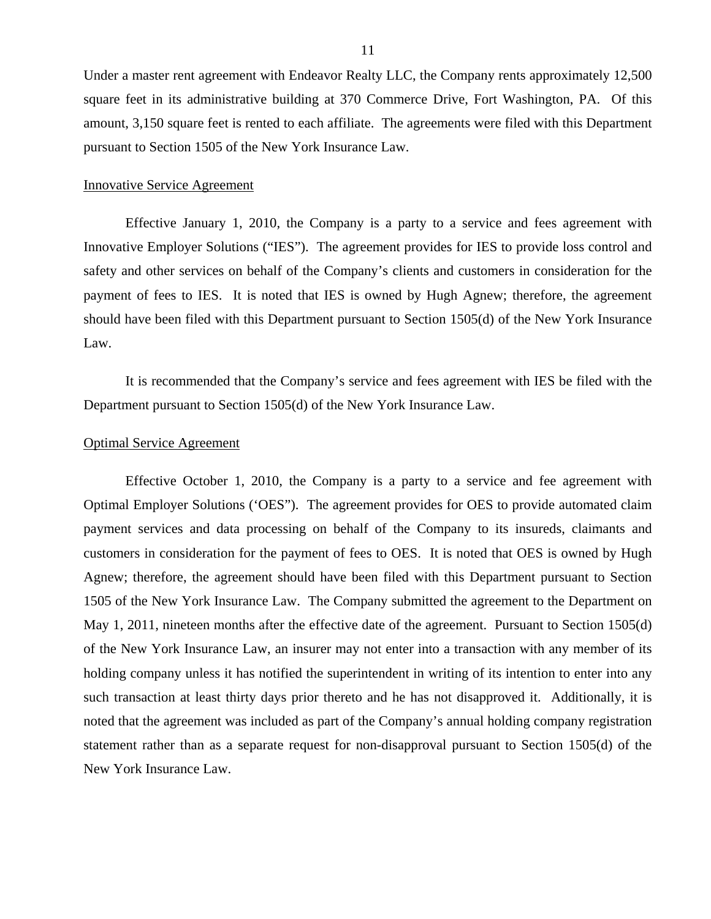Under a master rent agreement with Endeavor Realty LLC, the Company rents approximately 12,500 square feet in its administrative building at 370 Commerce Drive, Fort Washington, PA. Of this amount, 3,150 square feet is rented to each affiliate. The agreements were filed with this Department pursuant to Section 1505 of the New York Insurance Law.

## Innovative Service Agreement

Effective January 1, 2010, the Company is a party to a service and fees agreement with Innovative Employer Solutions ("IES"). The agreement provides for IES to provide loss control and safety and other services on behalf of the Company's clients and customers in consideration for the payment of fees to IES. It is noted that IES is owned by Hugh Agnew; therefore, the agreement should have been filed with this Department pursuant to Section 1505(d) of the New York Insurance Law.

It is recommended that the Company's service and fees agreement with IES be filed with the Department pursuant to Section 1505(d) of the New York Insurance Law.

#### Optimal Service Agreement

Effective October 1, 2010, the Company is a party to a service and fee agreement with Optimal Employer Solutions ('OES"). The agreement provides for OES to provide automated claim payment services and data processing on behalf of the Company to its insureds, claimants and customers in consideration for the payment of fees to OES. It is noted that OES is owned by Hugh Agnew; therefore, the agreement should have been filed with this Department pursuant to Section 1505 of the New York Insurance Law. The Company submitted the agreement to the Department on May 1, 2011, nineteen months after the effective date of the agreement. Pursuant to Section 1505(d) of the New York Insurance Law, an insurer may not enter into a transaction with any member of its holding company unless it has notified the superintendent in writing of its intention to enter into any such transaction at least thirty days prior thereto and he has not disapproved it. Additionally, it is noted that the agreement was included as part of the Company's annual holding company registration statement rather than as a separate request for non-disapproval pursuant to Section 1505(d) of the New York Insurance Law.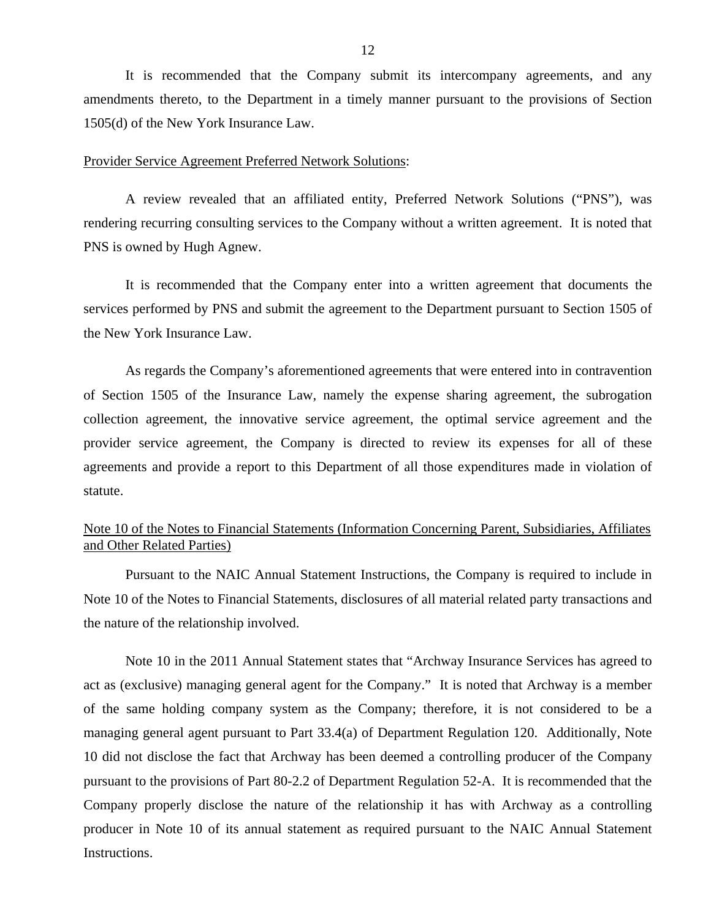It is recommended that the Company submit its intercompany agreements, and any amendments thereto, to the Department in a timely manner pursuant to the provisions of Section 1505(d) of the New York Insurance Law.

### Provider Service Agreement Preferred Network Solutions:

A review revealed that an affiliated entity, Preferred Network Solutions ("PNS"), was rendering recurring consulting services to the Company without a written agreement. It is noted that PNS is owned by Hugh Agnew.

It is recommended that the Company enter into a written agreement that documents the services performed by PNS and submit the agreement to the Department pursuant to Section 1505 of the New York Insurance Law.

As regards the Company's aforementioned agreements that were entered into in contravention of Section 1505 of the Insurance Law, namely the expense sharing agreement, the subrogation collection agreement, the innovative service agreement, the optimal service agreement and the provider service agreement, the Company is directed to review its expenses for all of these agreements and provide a report to this Department of all those expenditures made in violation of statute.

## Note 10 of the Notes to Financial Statements (Information Concerning Parent, Subsidiaries, Affiliates and Other Related Parties)

Pursuant to the NAIC Annual Statement Instructions, the Company is required to include in Note 10 of the Notes to Financial Statements, disclosures of all material related party transactions and the nature of the relationship involved.

Note 10 in the 2011 Annual Statement states that "Archway Insurance Services has agreed to act as (exclusive) managing general agent for the Company." It is noted that Archway is a member of the same holding company system as the Company; therefore, it is not considered to be a managing general agent pursuant to Part 33.4(a) of Department Regulation 120. Additionally, Note 10 did not disclose the fact that Archway has been deemed a controlling producer of the Company pursuant to the provisions of Part 80-2.2 of Department Regulation 52-A. It is recommended that the Company properly disclose the nature of the relationship it has with Archway as a controlling producer in Note 10 of its annual statement as required pursuant to the NAIC Annual Statement Instructions.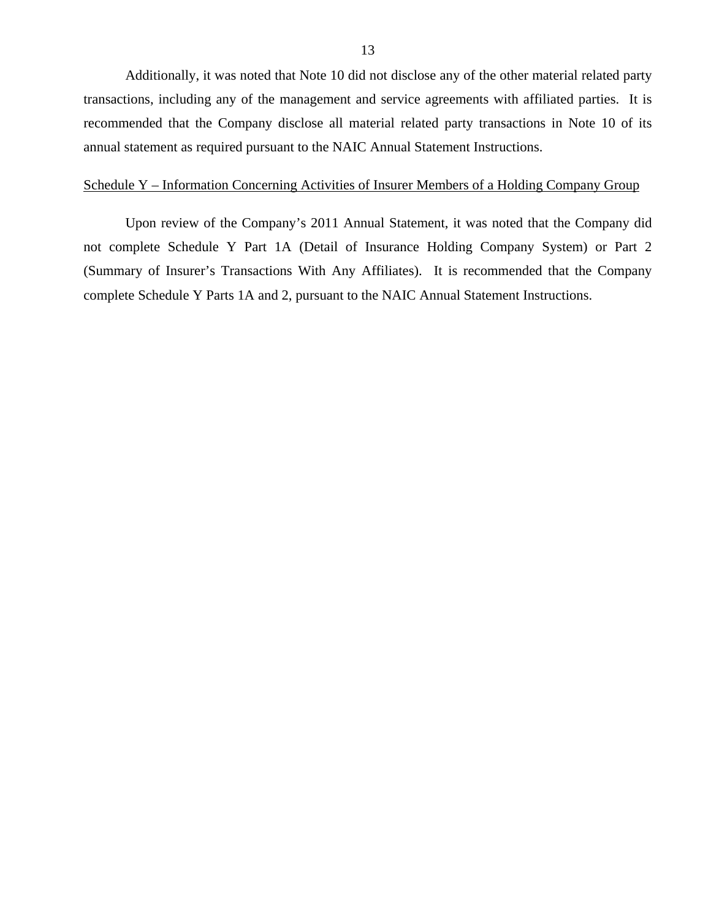Additionally, it was noted that Note 10 did not disclose any of the other material related party transactions, including any of the management and service agreements with affiliated parties. It is recommended that the Company disclose all material related party transactions in Note 10 of its annual statement as required pursuant to the NAIC Annual Statement Instructions.

## Schedule Y – Information Concerning Activities of Insurer Members of a Holding Company Group

Upon review of the Company's 2011 Annual Statement, it was noted that the Company did not complete Schedule Y Part 1A (Detail of Insurance Holding Company System) or Part 2 (Summary of Insurer's Transactions With Any Affiliates). It is recommended that the Company complete Schedule Y Parts 1A and 2, pursuant to the NAIC Annual Statement Instructions.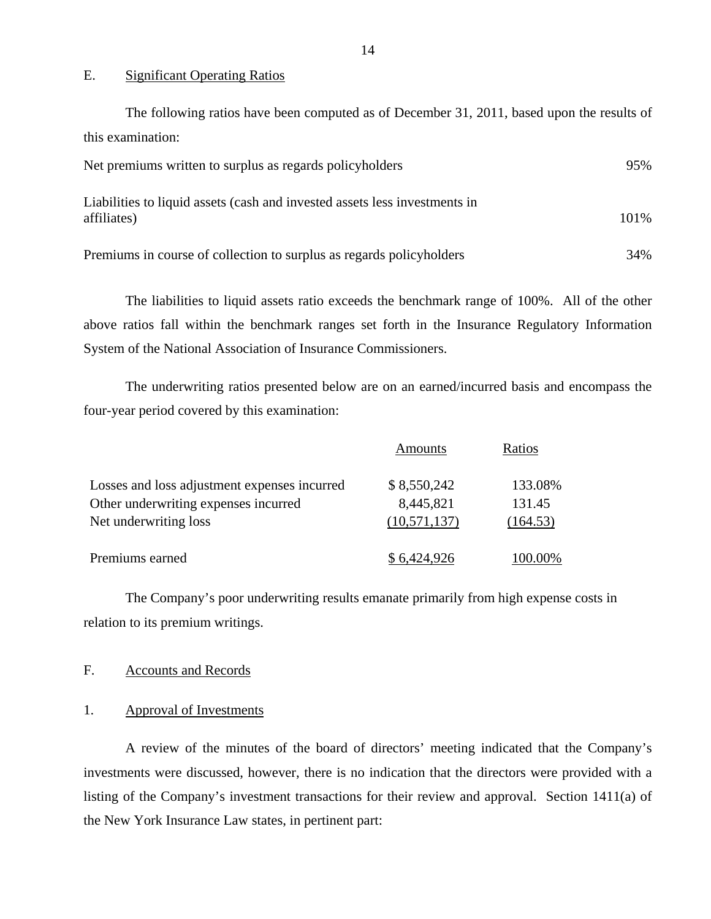#### E. Significant Operating Ratios

| The following ratios have been computed as of December 31, 2011, based upon the results of |      |
|--------------------------------------------------------------------------------------------|------|
| this examination:                                                                          |      |
| Net premiums written to surplus as regards policyholders                                   | 95%  |
| Liabilities to liquid assets (cash and invested assets less investments in<br>affiliates)  | 101% |
| Premiums in course of collection to surplus as regards policyholders                       | 34%  |

The liabilities to liquid assets ratio exceeds the benchmark range of 100%. All of the other above ratios fall within the benchmark ranges set forth in the Insurance Regulatory Information System of the National Association of Insurance Commissioners.

The underwriting ratios presented below are on an earned/incurred basis and encompass the four-year period covered by this examination:

|                                              | <b>Amounts</b> | Ratios   |
|----------------------------------------------|----------------|----------|
| Losses and loss adjustment expenses incurred | \$8,550,242    | 133.08%  |
| Other underwriting expenses incurred         | 8,445,821      | 131.45   |
| Net underwriting loss                        | (10,571,137)   | (164.53) |
| Premiums earned                              | \$6,424,926    | 100.00%  |

The Company's poor underwriting results emanate primarily from high expense costs in relation to its premium writings.

## F. Accounts and Records

## 1. Approval of Investments

A review of the minutes of the board of directors' meeting indicated that the Company's investments were discussed, however, there is no indication that the directors were provided with a listing of the Company's investment transactions for their review and approval. Section 1411(a) of the New York Insurance Law states, in pertinent part: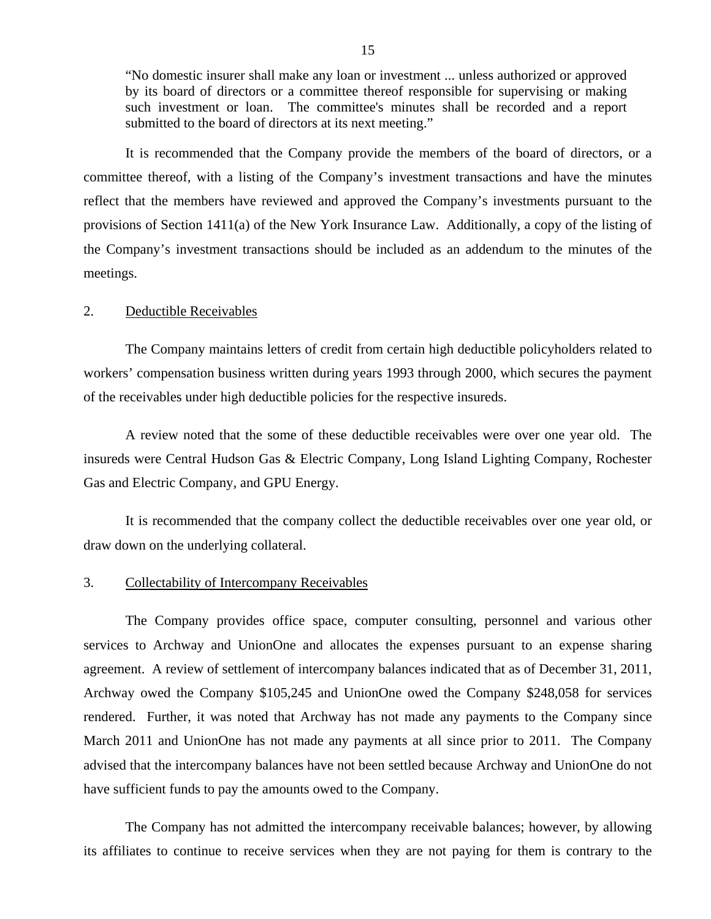"No domestic insurer shall make any loan or investment ... unless authorized or approved by its board of directors or a committee thereof responsible for supervising or making such investment or loan. The committee's minutes shall be recorded and a report submitted to the board of directors at its next meeting."

It is recommended that the Company provide the members of the board of directors, or a committee thereof, with a listing of the Company's investment transactions and have the minutes reflect that the members have reviewed and approved the Company's investments pursuant to the provisions of Section 1411(a) of the New York Insurance Law. Additionally, a copy of the listing of the Company's investment transactions should be included as an addendum to the minutes of the meetings.

#### 2. Deductible Receivables

The Company maintains letters of credit from certain high deductible policyholders related to workers' compensation business written during years 1993 through 2000, which secures the payment of the receivables under high deductible policies for the respective insureds.

A review noted that the some of these deductible receivables were over one year old. The insureds were Central Hudson Gas & Electric Company, Long Island Lighting Company, Rochester Gas and Electric Company, and GPU Energy.

It is recommended that the company collect the deductible receivables over one year old, or draw down on the underlying collateral.

#### 3. Collectability of Intercompany Receivables

The Company provides office space, computer consulting, personnel and various other services to Archway and UnionOne and allocates the expenses pursuant to an expense sharing agreement. A review of settlement of intercompany balances indicated that as of December 31, 2011, Archway owed the Company \$105,245 and UnionOne owed the Company \$248,058 for services rendered. Further, it was noted that Archway has not made any payments to the Company since March 2011 and UnionOne has not made any payments at all since prior to 2011. The Company advised that the intercompany balances have not been settled because Archway and UnionOne do not have sufficient funds to pay the amounts owed to the Company.

The Company has not admitted the intercompany receivable balances; however, by allowing its affiliates to continue to receive services when they are not paying for them is contrary to the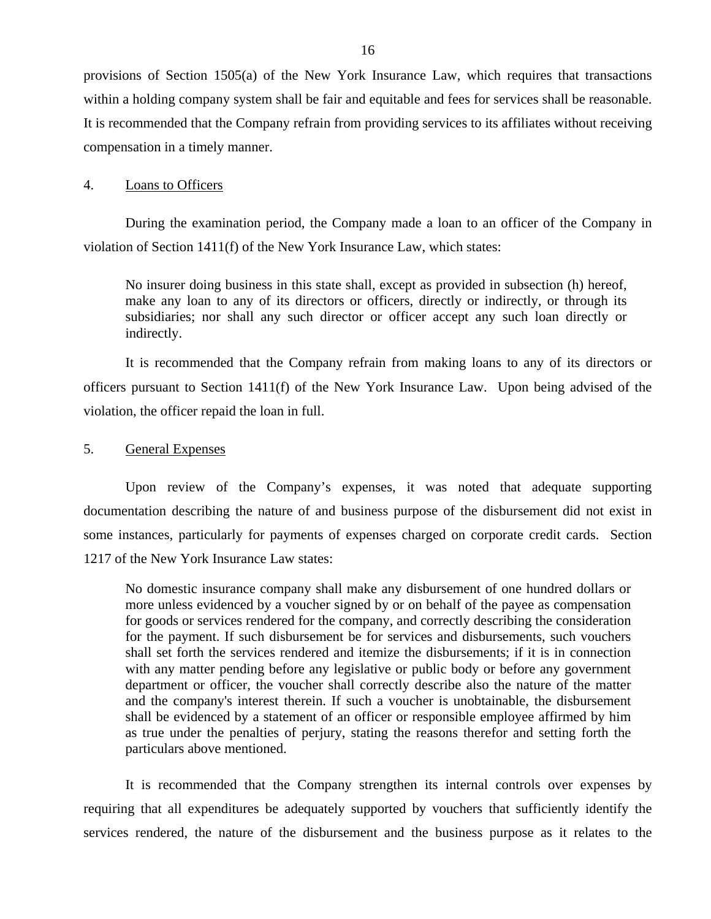provisions of Section 1505(a) of the New York Insurance Law, which requires that transactions within a holding company system shall be fair and equitable and fees for services shall be reasonable. It is recommended that the Company refrain from providing services to its affiliates without receiving compensation in a timely manner.

## 4. Loans to Officers

During the examination period, the Company made a loan to an officer of the Company in violation of Section 1411(f) of the New York Insurance Law, which states:

No insurer doing business in this state shall, except as provided in subsection (h) hereof, make any loan to any of its directors or officers, directly or indirectly, or through its subsidiaries; nor shall any such director or officer accept any such loan directly or indirectly.

It is recommended that the Company refrain from making loans to any of its directors or officers pursuant to Section 1411(f) of the New York Insurance Law. Upon being advised of the violation, the officer repaid the loan in full.

5. General Expenses

Upon review of the Company's expenses, it was noted that adequate supporting documentation describing the nature of and business purpose of the disbursement did not exist in some instances, particularly for payments of expenses charged on corporate credit cards. Section 1217 of the New York Insurance Law states:

No domestic insurance company shall make any disbursement of one hundred dollars or more unless evidenced by a voucher signed by or on behalf of the payee as compensation for goods or services rendered for the company, and correctly describing the consideration for the payment. If such disbursement be for services and disbursements, such vouchers shall set forth the services rendered and itemize the disbursements; if it is in connection with any matter pending before any legislative or public body or before any government department or officer, the voucher shall correctly describe also the nature of the matter and the company's interest therein. If such a voucher is unobtainable, the disbursement shall be evidenced by a statement of an officer or responsible employee affirmed by him as true under the penalties of perjury, stating the reasons therefor and setting forth the particulars above mentioned.

It is recommended that the Company strengthen its internal controls over expenses by requiring that all expenditures be adequately supported by vouchers that sufficiently identify the services rendered, the nature of the disbursement and the business purpose as it relates to the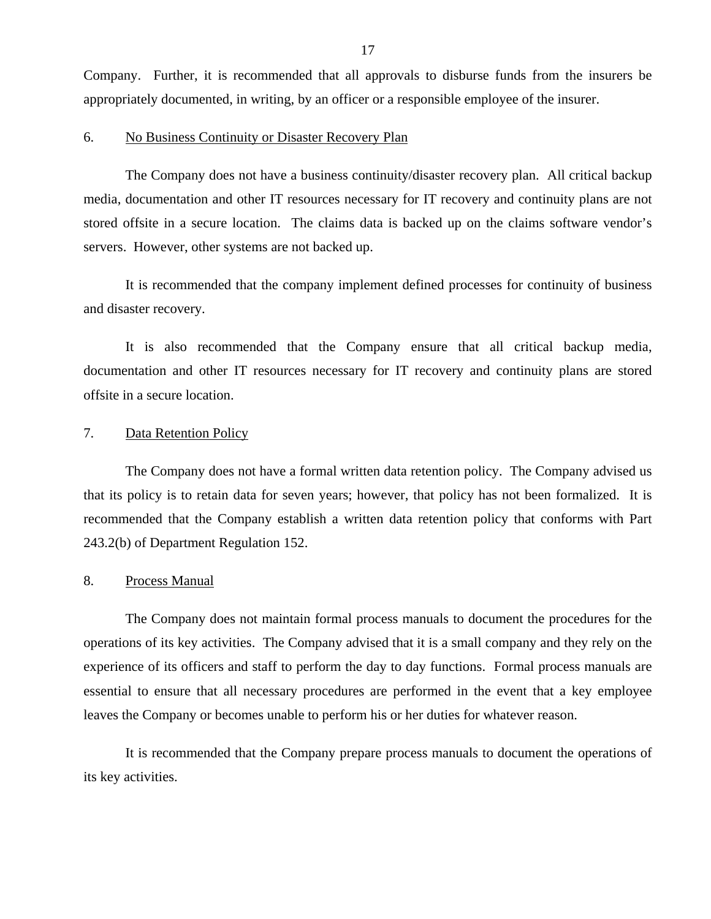Company. Further, it is recommended that all approvals to disburse funds from the insurers be appropriately documented, in writing, by an officer or a responsible employee of the insurer.

#### 6. No Business Continuity or Disaster Recovery Plan

The Company does not have a business continuity/disaster recovery plan. All critical backup media, documentation and other IT resources necessary for IT recovery and continuity plans are not stored offsite in a secure location. The claims data is backed up on the claims software vendor's servers. However, other systems are not backed up.

It is recommended that the company implement defined processes for continuity of business and disaster recovery.

It is also recommended that the Company ensure that all critical backup media, documentation and other IT resources necessary for IT recovery and continuity plans are stored offsite in a secure location.

#### 7. Data Retention Policy

The Company does not have a formal written data retention policy. The Company advised us that its policy is to retain data for seven years; however, that policy has not been formalized. It is recommended that the Company establish a written data retention policy that conforms with Part 243.2(b) of Department Regulation 152.

## 8. Process Manual

The Company does not maintain formal process manuals to document the procedures for the operations of its key activities. The Company advised that it is a small company and they rely on the experience of its officers and staff to perform the day to day functions. Formal process manuals are essential to ensure that all necessary procedures are performed in the event that a key employee leaves the Company or becomes unable to perform his or her duties for whatever reason.

It is recommended that the Company prepare process manuals to document the operations of its key activities.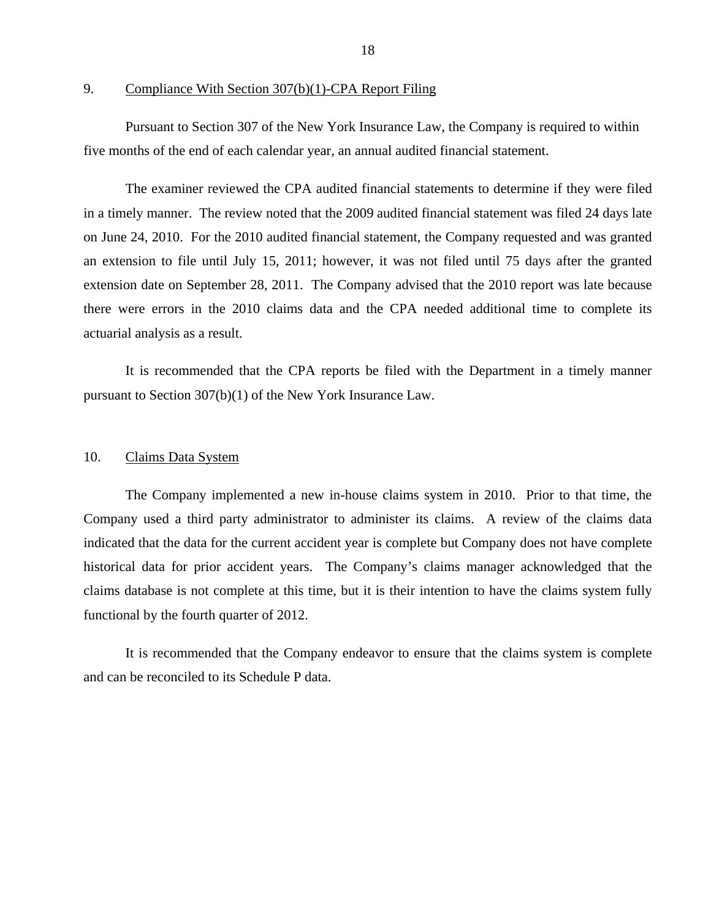9. Compliance With Section 307(b)(1)-CPA Report Filing

Pursuant to Section 307 of the New York Insurance Law, the Company is required to within five months of the end of each calendar year, an annual audited financial statement.

The examiner reviewed the CPA audited financial statements to determine if they were filed in a timely manner. The review noted that the 2009 audited financial statement was filed 24 days late on June 24, 2010. For the 2010 audited financial statement, the Company requested and was granted an extension to file until July 15, 2011; however, it was not filed until 75 days after the granted extension date on September 28, 2011. The Company advised that the 2010 report was late because there were errors in the 2010 claims data and the CPA needed additional time to complete its actuarial analysis as a result.

It is recommended that the CPA reports be filed with the Department in a timely manner pursuant to Section 307(b)(1) of the New York Insurance Law.

### 10. Claims Data System

The Company implemented a new in-house claims system in 2010. Prior to that time, the Company used a third party administrator to administer its claims. A review of the claims data indicated that the data for the current accident year is complete but Company does not have complete historical data for prior accident years. The Company's claims manager acknowledged that the claims database is not complete at this time, but it is their intention to have the claims system fully functional by the fourth quarter of 2012.

It is recommended that the Company endeavor to ensure that the claims system is complete and can be reconciled to its Schedule P data.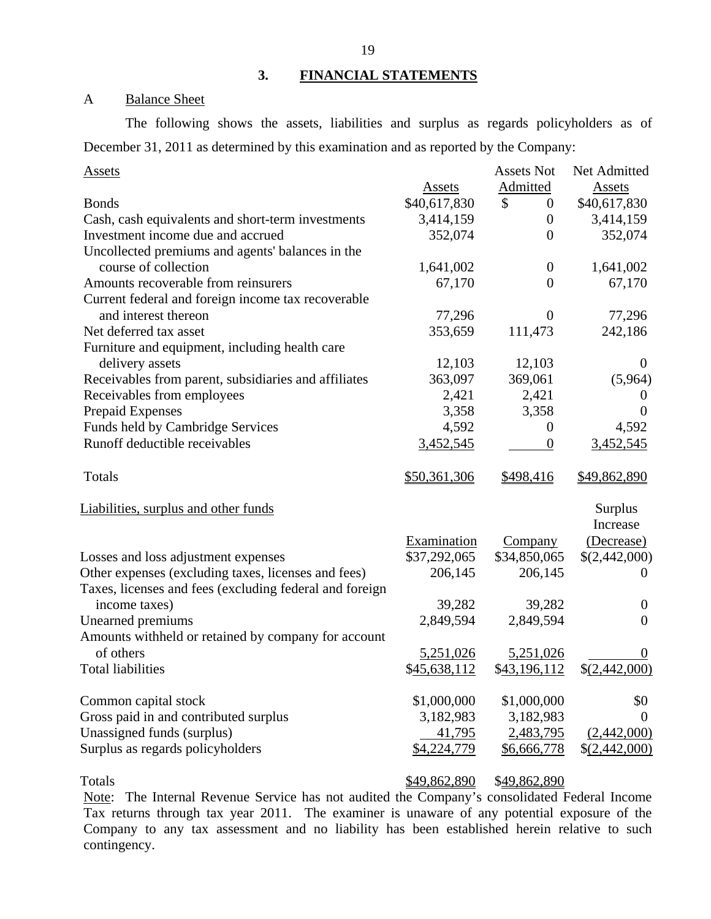## **3. FINANCIAL STATEMENTS**

## A Balance Sheet

The following shows the assets, liabilities and surplus as regards policyholders as of December 31, 2011 as determined by this examination and as reported by the Company:

| <b>Assets</b>                                           |               | <b>Assets Not</b>      | Net Admitted   |
|---------------------------------------------------------|---------------|------------------------|----------------|
|                                                         | <b>Assets</b> | Admitted               | <b>Assets</b>  |
| <b>Bonds</b>                                            | \$40,617,830  | \$<br>$\boldsymbol{0}$ | \$40,617,830   |
| Cash, cash equivalents and short-term investments       | 3,414,159     | $\overline{0}$         | 3,414,159      |
| Investment income due and accrued                       | 352,074       | $\overline{0}$         | 352,074        |
| Uncollected premiums and agents' balances in the        |               |                        |                |
| course of collection                                    | 1,641,002     | $\boldsymbol{0}$       | 1,641,002      |
| Amounts recoverable from reinsurers                     | 67,170        | $\Omega$               | 67,170         |
| Current federal and foreign income tax recoverable      |               |                        |                |
| and interest thereon                                    | 77,296        | $\overline{0}$         | 77,296         |
| Net deferred tax asset                                  | 353,659       | 111,473                | 242,186        |
| Furniture and equipment, including health care          |               |                        |                |
| delivery assets                                         | 12,103        | 12,103                 | $\overline{0}$ |
| Receivables from parent, subsidiaries and affiliates    | 363,097       | 369,061                | (5,964)        |
| Receivables from employees                              | 2,421         | 2,421                  | O              |
| Prepaid Expenses                                        | 3,358         | 3,358                  | $\Omega$       |
| Funds held by Cambridge Services                        | 4,592         | $\overline{0}$         | 4,592          |
| Runoff deductible receivables                           | 3,452,545     | $\theta$               | 3,452,545      |
| Totals                                                  | \$50,361,306  | \$498,416              | \$49,862,890   |
| Liabilities, surplus and other funds                    |               |                        | <b>Surplus</b> |
|                                                         |               |                        | Increase       |
|                                                         | Examination   | Company                | (Decrease)     |
| Losses and loss adjustment expenses                     | \$37,292,065  | \$34,850,065           | \$(2,442,000)  |
| Other expenses (excluding taxes, licenses and fees)     | 206,145       | 206,145                | $\Omega$       |
| Taxes, licenses and fees (excluding federal and foreign |               |                        |                |
| income taxes)                                           | 39,282        | 39,282                 | $\theta$       |
| Unearned premiums                                       | 2,849,594     | 2,849,594              | $\overline{0}$ |
| Amounts withheld or retained by company for account     |               |                        |                |
| of others                                               | 5,251,026     | 5,251,026              | $\Omega$       |
| <b>Total liabilities</b>                                | \$45,638,112  | \$43,196,112           | \$(2,442,000)  |
| Common capital stock                                    | \$1,000,000   | \$1,000,000            | \$0            |
| Gross paid in and contributed surplus                   | 3,182,983     | 3,182,983              | $\theta$       |
| Unassigned funds (surplus)                              | 41,795        | 2,483,795              | (2,442,000)    |
| Surplus as regards policyholders                        | \$4,224,779   | \$6,666,778            | \$ (2,442,000) |
| Totals                                                  | \$49,862,890  | \$49,862,890           |                |

Note: The Internal Revenue Service has not audited the Company's consolidated Federal Income Tax returns through tax year 2011. The examiner is unaware of any potential exposure of the Company to any tax assessment and no liability has been established herein relative to such contingency.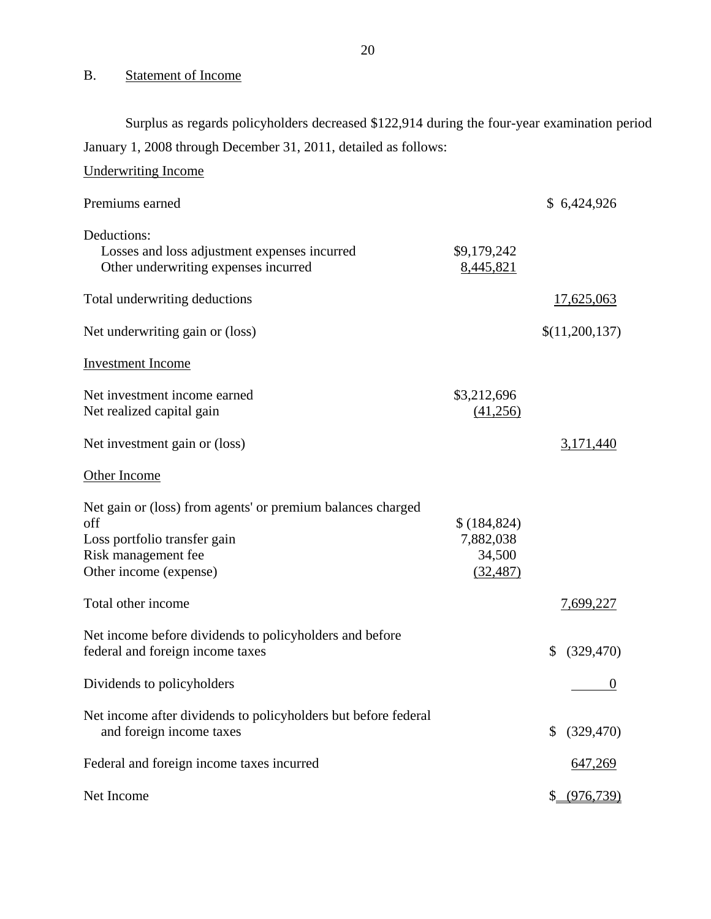## B. Statement of Income

Surplus as regards policyholders decreased \$122,914 during the four-year examination period January 1, 2008 through December 31, 2011, detailed as follows:

| <b>Underwriting Income</b>                                                                                                                          |                                                  |                  |
|-----------------------------------------------------------------------------------------------------------------------------------------------------|--------------------------------------------------|------------------|
| Premiums earned                                                                                                                                     |                                                  | \$6,424,926      |
| Deductions:<br>Losses and loss adjustment expenses incurred<br>Other underwriting expenses incurred                                                 | \$9,179,242<br>8,445,821                         |                  |
| Total underwriting deductions                                                                                                                       |                                                  | 17,625,063       |
| Net underwriting gain or (loss)                                                                                                                     |                                                  | \$(11,200,137)   |
| <b>Investment Income</b>                                                                                                                            |                                                  |                  |
| Net investment income earned<br>Net realized capital gain                                                                                           | \$3,212,696<br>(41,256)                          |                  |
| Net investment gain or (loss)                                                                                                                       |                                                  | 3,171,440        |
| Other Income                                                                                                                                        |                                                  |                  |
| Net gain or (loss) from agents' or premium balances charged<br>off<br>Loss portfolio transfer gain<br>Risk management fee<br>Other income (expense) | \$(184, 824)<br>7,882,038<br>34,500<br>(32, 487) |                  |
| Total other income                                                                                                                                  |                                                  | 7,699,227        |
| Net income before dividends to policyholders and before<br>federal and foreign income taxes                                                         |                                                  | \$<br>(329, 470) |
| Dividends to policyholders                                                                                                                          |                                                  | $\boldsymbol{0}$ |
| Net income after dividends to policyholders but before federal<br>and foreign income taxes                                                          |                                                  | (329, 470)<br>\$ |
| Federal and foreign income taxes incurred                                                                                                           |                                                  | 647,269          |
| Net Income                                                                                                                                          |                                                  | \$ (976, 739)    |

20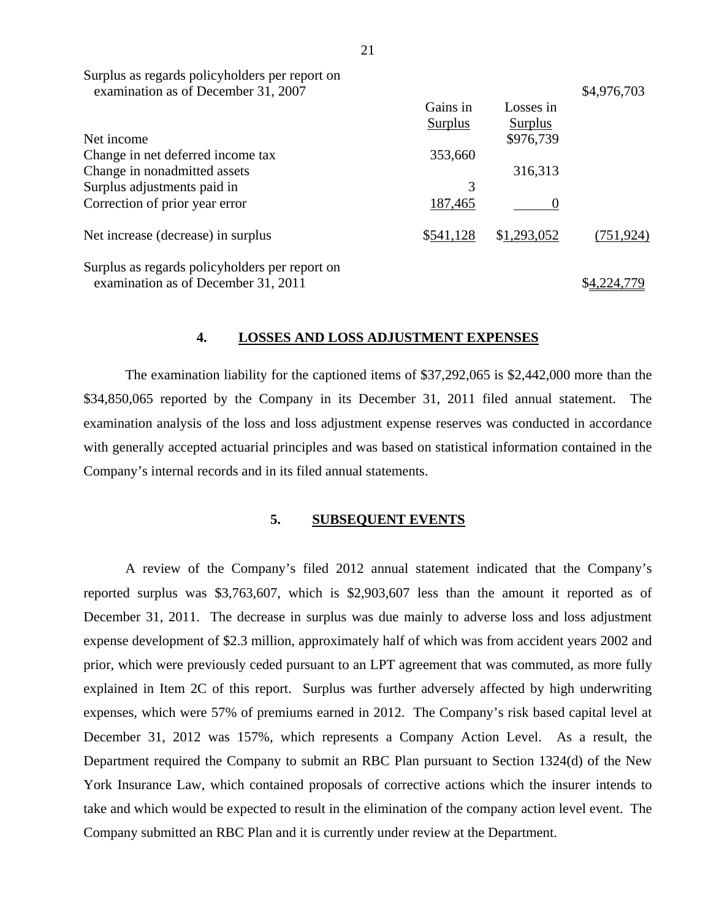| Surplus as regards policyholders per report on<br>examination as of December 31, 2007 |           |             | \$4,976,703 |
|---------------------------------------------------------------------------------------|-----------|-------------|-------------|
|                                                                                       | Gains in  | Losses in   |             |
|                                                                                       | Surplus   | Surplus     |             |
| Net income                                                                            |           | \$976,739   |             |
| Change in net deferred income tax                                                     | 353,660   |             |             |
| Change in nonadmitted assets                                                          |           | 316,313     |             |
| Surplus adjustments paid in                                                           | 3         |             |             |
| Correction of prior year error                                                        | 187,465   |             |             |
| Net increase (decrease) in surplus                                                    | \$541,128 | \$1,293,052 | (751, 924)  |
| Surplus as regards policyholders per report on<br>examination as of December 31, 2011 |           |             |             |

#### **4. LOSSES AND LOSS ADJUSTMENT EXPENSES**

The examination liability for the captioned items of \$37,292,065 is \$2,442,000 more than the \$34,850,065 reported by the Company in its December 31, 2011 filed annual statement. The examination analysis of the loss and loss adjustment expense reserves was conducted in accordance with generally accepted actuarial principles and was based on statistical information contained in the Company's internal records and in its filed annual statements.

#### **5. SUBSEQUENT EVENTS**

A review of the Company's filed 2012 annual statement indicated that the Company's reported surplus was \$3,763,607, which is \$2,903,607 less than the amount it reported as of December 31, 2011. The decrease in surplus was due mainly to adverse loss and loss adjustment expense development of \$2.3 million, approximately half of which was from accident years 2002 and prior, which were previously ceded pursuant to an LPT agreement that was commuted, as more fully explained in Item 2C of this report. Surplus was further adversely affected by high underwriting expenses, which were 57% of premiums earned in 2012. The Company's risk based capital level at December 31, 2012 was 157%, which represents a Company Action Level. As a result, the Department required the Company to submit an RBC Plan pursuant to Section 1324(d) of the New York Insurance Law, which contained proposals of corrective actions which the insurer intends to take and which would be expected to result in the elimination of the company action level event. The Company submitted an RBC Plan and it is currently under review at the Department.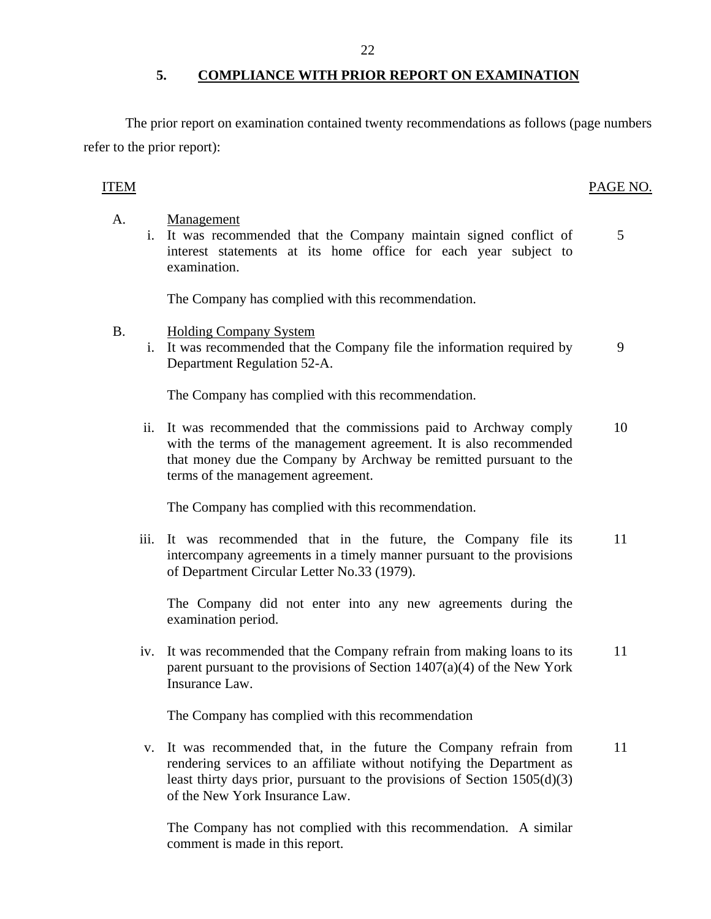## **5. COMPLIANCE WITH PRIOR REPORT ON EXAMINATION**

The prior report on examination contained twenty recommendations as follows (page numbers refer to the prior report):

## ITEM PAGE NO.

- A. Management
	- i. It was recommended that the Company maintain signed conflict of 5 interest statements at its home office for each year subject to examination.

The Company has complied with this recommendation.

- B. Holding Company System
	- i. It was recommended that the Company file the information required by 9 Department Regulation 52-A.

The Company has complied with this recommendation.

ii. It was recommended that the commissions paid to Archway comply 10 with the terms of the management agreement. It is also recommended that money due the Company by Archway be remitted pursuant to the terms of the management agreement.

The Company has complied with this recommendation.

iii. It was recommended that in the future, the Company file its 11 intercompany agreements in a timely manner pursuant to the provisions of Department Circular Letter No.33 (1979).

The Company did not enter into any new agreements during the examination period.

iv. It was recommended that the Company refrain from making loans to its 11 parent pursuant to the provisions of Section 1407(a)(4) of the New York Insurance Law.

The Company has complied with this recommendation

v. It was recommended that, in the future the Company refrain from 11 rendering services to an affiliate without notifying the Department as least thirty days prior, pursuant to the provisions of Section  $1505(d)(3)$ of the New York Insurance Law.

The Company has not complied with this recommendation. A similar comment is made in this report.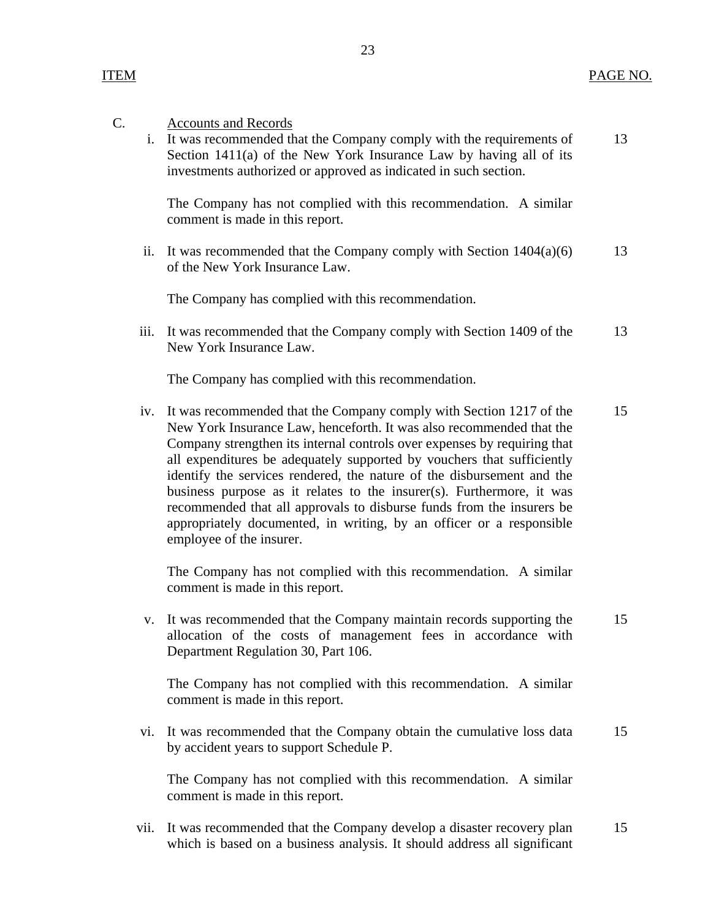| C. | i.   | <b>Accounts and Records</b><br>It was recommended that the Company comply with the requirements of<br>Section 1411(a) of the New York Insurance Law by having all of its<br>investments authorized or approved as indicated in such section.                                                                                                                                                                                                                                                                                                                                                                                      | 13 |
|----|------|-----------------------------------------------------------------------------------------------------------------------------------------------------------------------------------------------------------------------------------------------------------------------------------------------------------------------------------------------------------------------------------------------------------------------------------------------------------------------------------------------------------------------------------------------------------------------------------------------------------------------------------|----|
|    |      | The Company has not complied with this recommendation. A similar<br>comment is made in this report.                                                                                                                                                                                                                                                                                                                                                                                                                                                                                                                               |    |
|    | ii.  | It was recommended that the Company comply with Section $1404(a)(6)$<br>of the New York Insurance Law.                                                                                                                                                                                                                                                                                                                                                                                                                                                                                                                            | 13 |
|    |      | The Company has complied with this recommendation.                                                                                                                                                                                                                                                                                                                                                                                                                                                                                                                                                                                |    |
|    | iii. | It was recommended that the Company comply with Section 1409 of the<br>New York Insurance Law.                                                                                                                                                                                                                                                                                                                                                                                                                                                                                                                                    | 13 |
|    |      | The Company has complied with this recommendation.                                                                                                                                                                                                                                                                                                                                                                                                                                                                                                                                                                                |    |
|    | iv.  | It was recommended that the Company comply with Section 1217 of the<br>New York Insurance Law, henceforth. It was also recommended that the<br>Company strengthen its internal controls over expenses by requiring that<br>all expenditures be adequately supported by vouchers that sufficiently<br>identify the services rendered, the nature of the disbursement and the<br>business purpose as it relates to the insurer(s). Furthermore, it was<br>recommended that all approvals to disburse funds from the insurers be<br>appropriately documented, in writing, by an officer or a responsible<br>employee of the insurer. | 15 |
|    |      | The Company has not complied with this recommendation. A similar<br>comment is made in this report.                                                                                                                                                                                                                                                                                                                                                                                                                                                                                                                               |    |
|    | V.   | It was recommended that the Company maintain records supporting the<br>allocation of the costs of management fees in accordance with<br>Department Regulation 30, Part 106.                                                                                                                                                                                                                                                                                                                                                                                                                                                       | 15 |
|    |      | The Company has not complied with this recommendation. A similar<br>comment is made in this report.                                                                                                                                                                                                                                                                                                                                                                                                                                                                                                                               |    |
|    | vi.  | It was recommended that the Company obtain the cumulative loss data<br>by accident years to support Schedule P.                                                                                                                                                                                                                                                                                                                                                                                                                                                                                                                   | 15 |
|    |      | The Company has not complied with this recommendation. A similar<br>comment is made in this report.                                                                                                                                                                                                                                                                                                                                                                                                                                                                                                                               |    |

23

vii. It was recommended that the Company develop a disaster recovery plan which is based on a business analysis. It should address all significant 15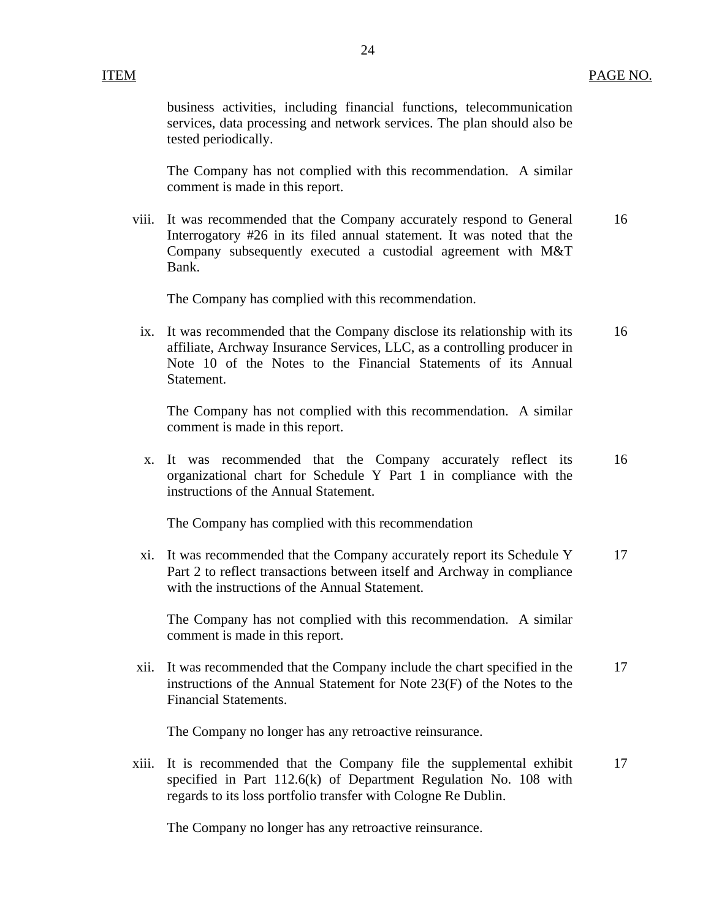business activities, including financial functions, telecommunication services, data processing and network services. The plan should also be tested periodically.

The Company has not complied with this recommendation. A similar comment is made in this report.

viii. It was recommended that the Company accurately respond to General 16 Interrogatory #26 in its filed annual statement. It was noted that the Company subsequently executed a custodial agreement with M&T Bank.

The Company has complied with this recommendation.

ix. It was recommended that the Company disclose its relationship with its 16 affiliate, Archway Insurance Services, LLC, as a controlling producer in Note 10 of the Notes to the Financial Statements of its Annual Statement.

The Company has not complied with this recommendation. A similar comment is made in this report.

x. It was recommended that the Company accurately reflect its 16 organizational chart for Schedule Y Part 1 in compliance with the instructions of the Annual Statement.

The Company has complied with this recommendation

xi. It was recommended that the Company accurately report its Schedule Y 17 Part 2 to reflect transactions between itself and Archway in compliance with the instructions of the Annual Statement.

The Company has not complied with this recommendation. A similar comment is made in this report.

xii. It was recommended that the Company include the chart specified in the 17 instructions of the Annual Statement for Note 23(F) of the Notes to the Financial Statements.

The Company no longer has any retroactive reinsurance.

xiii. It is recommended that the Company file the supplemental exhibit 17 specified in Part 112.6(k) of Department Regulation No. 108 with regards to its loss portfolio transfer with Cologne Re Dublin.

The Company no longer has any retroactive reinsurance.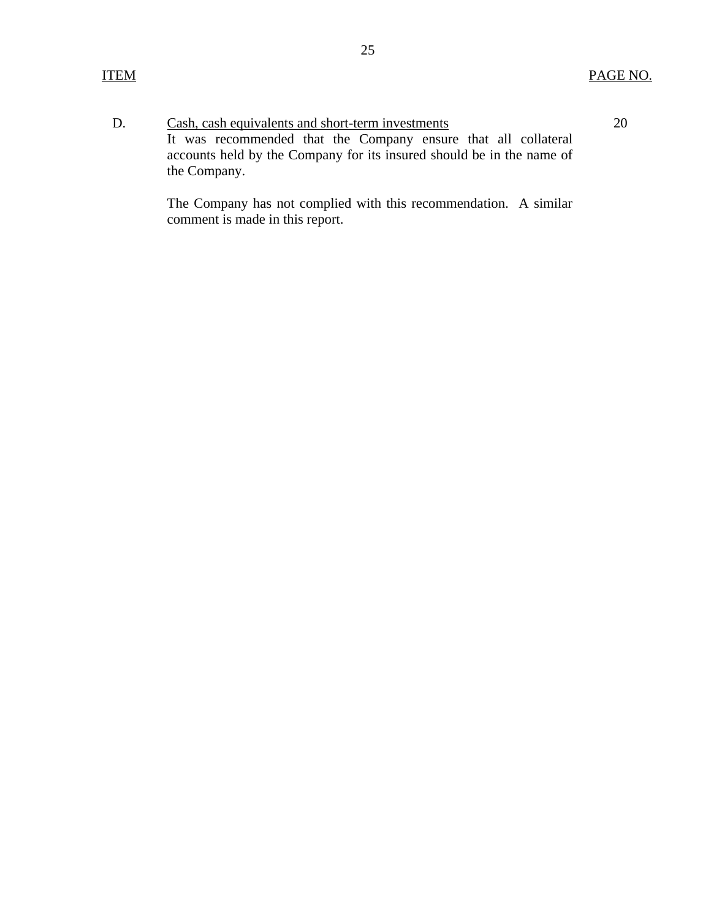20

D. Cash, cash equivalents and short-term investments It was recommended that the Company ensure that all collateral accounts held by the Company for its insured should be in the name of the Company.

> The Company has not complied with this recommendation. A similar comment is made in this report.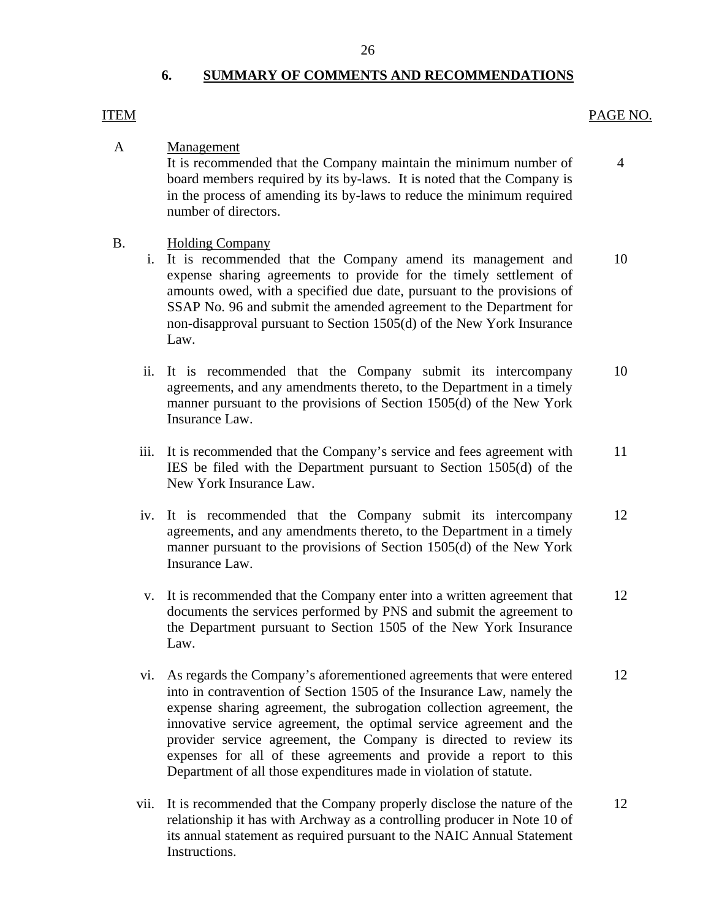## **6. SUMMARY OF COMMENTS AND RECOMMENDATIONS**

#### ITEM PAGE NO.

4

A Management

It is recommended that the Company maintain the minimum number of board members required by its by-laws. It is noted that the Company is in the process of amending its by-laws to reduce the minimum required number of directors.

- B. Holding Company
	- i. It is recommended that the Company amend its management and expense sharing agreements to provide for the timely settlement of amounts owed, with a specified due date, pursuant to the provisions of SSAP No. 96 and submit the amended agreement to the Department for non-disapproval pursuant to Section 1505(d) of the New York Insurance Law. 10
	- ii. It is recommended that the Company submit its intercompany agreements, and any amendments thereto, to the Department in a timely manner pursuant to the provisions of Section 1505(d) of the New York Insurance Law. 10
	- iii. It is recommended that the Company's service and fees agreement with IES be filed with the Department pursuant to Section 1505(d) of the New York Insurance Law. 11
	- iv. It is recommended that the Company submit its intercompany agreements, and any amendments thereto, to the Department in a timely manner pursuant to the provisions of Section 1505(d) of the New York Insurance Law. 12
	- v. It is recommended that the Company enter into a written agreement that documents the services performed by PNS and submit the agreement to the Department pursuant to Section 1505 of the New York Insurance Law. 12
	- vi. As regards the Company's aforementioned agreements that were entered into in contravention of Section 1505 of the Insurance Law, namely the expense sharing agreement, the subrogation collection agreement, the innovative service agreement, the optimal service agreement and the provider service agreement, the Company is directed to review its expenses for all of these agreements and provide a report to this Department of all those expenditures made in violation of statute. 12
	- vii. It is recommended that the Company properly disclose the nature of the relationship it has with Archway as a controlling producer in Note 10 of its annual statement as required pursuant to the NAIC Annual Statement Instructions. 12

26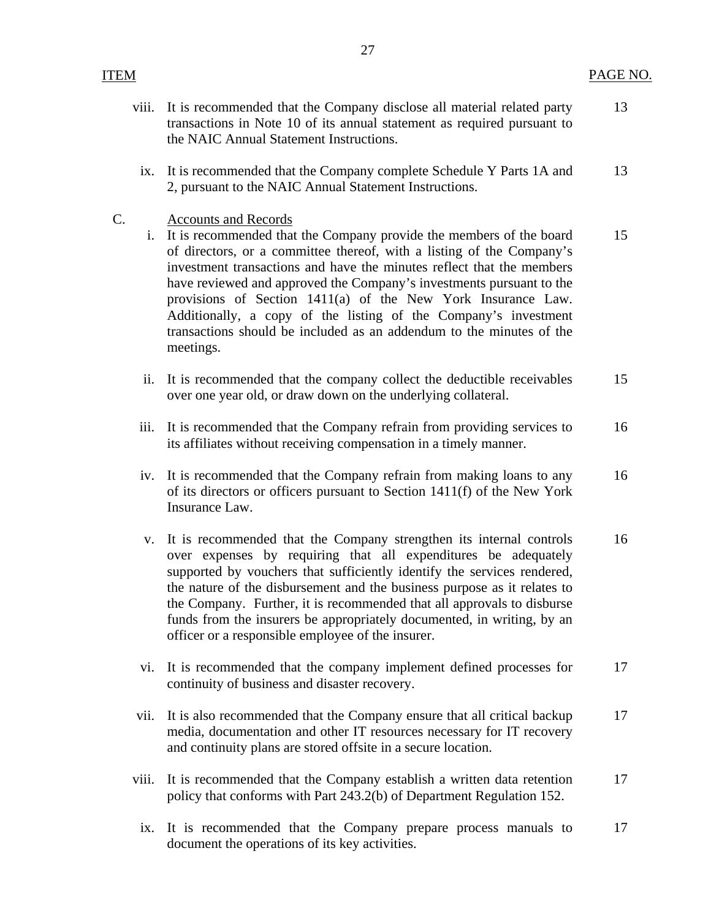viii. It is recommended that the Company disclose all material related party

13

|    |       | transactions in Note 10 of its annual statement as required pursuant to<br>the NAIC Annual Statement Instructions.                                                                                                                                                                                                                                                                                                                                                                                                                                   |    |
|----|-------|------------------------------------------------------------------------------------------------------------------------------------------------------------------------------------------------------------------------------------------------------------------------------------------------------------------------------------------------------------------------------------------------------------------------------------------------------------------------------------------------------------------------------------------------------|----|
|    | ix.   | It is recommended that the Company complete Schedule Y Parts 1A and<br>2, pursuant to the NAIC Annual Statement Instructions.                                                                                                                                                                                                                                                                                                                                                                                                                        | 13 |
| C. | i.    | <b>Accounts and Records</b><br>It is recommended that the Company provide the members of the board<br>of directors, or a committee thereof, with a listing of the Company's<br>investment transactions and have the minutes reflect that the members<br>have reviewed and approved the Company's investments pursuant to the<br>provisions of Section 1411(a) of the New York Insurance Law.<br>Additionally, a copy of the listing of the Company's investment<br>transactions should be included as an addendum to the minutes of the<br>meetings. | 15 |
|    | ii.   | It is recommended that the company collect the deductible receivables<br>over one year old, or draw down on the underlying collateral.                                                                                                                                                                                                                                                                                                                                                                                                               | 15 |
|    | iii.  | It is recommended that the Company refrain from providing services to<br>its affiliates without receiving compensation in a timely manner.                                                                                                                                                                                                                                                                                                                                                                                                           | 16 |
|    | iv.   | It is recommended that the Company refrain from making loans to any<br>of its directors or officers pursuant to Section 1411(f) of the New York<br>Insurance Law.                                                                                                                                                                                                                                                                                                                                                                                    | 16 |
|    | V.    | It is recommended that the Company strengthen its internal controls<br>over expenses by requiring that all expenditures be adequately<br>supported by vouchers that sufficiently identify the services rendered,<br>the nature of the disbursement and the business purpose as it relates to<br>the Company. Further, it is recommended that all approvals to disburse<br>funds from the insurers be appropriately documented, in writing, by an<br>officer or a responsible employee of the insurer.                                                | 16 |
|    | vi.   | It is recommended that the company implement defined processes for<br>continuity of business and disaster recovery.                                                                                                                                                                                                                                                                                                                                                                                                                                  | 17 |
|    | vii.  | It is also recommended that the Company ensure that all critical backup<br>media, documentation and other IT resources necessary for IT recovery<br>and continuity plans are stored offsite in a secure location.                                                                                                                                                                                                                                                                                                                                    | 17 |
|    | viii. | It is recommended that the Company establish a written data retention<br>policy that conforms with Part 243.2(b) of Department Regulation 152.                                                                                                                                                                                                                                                                                                                                                                                                       | 17 |
|    | ix.   | It is recommended that the Company prepare process manuals to<br>document the operations of its key activities.                                                                                                                                                                                                                                                                                                                                                                                                                                      | 17 |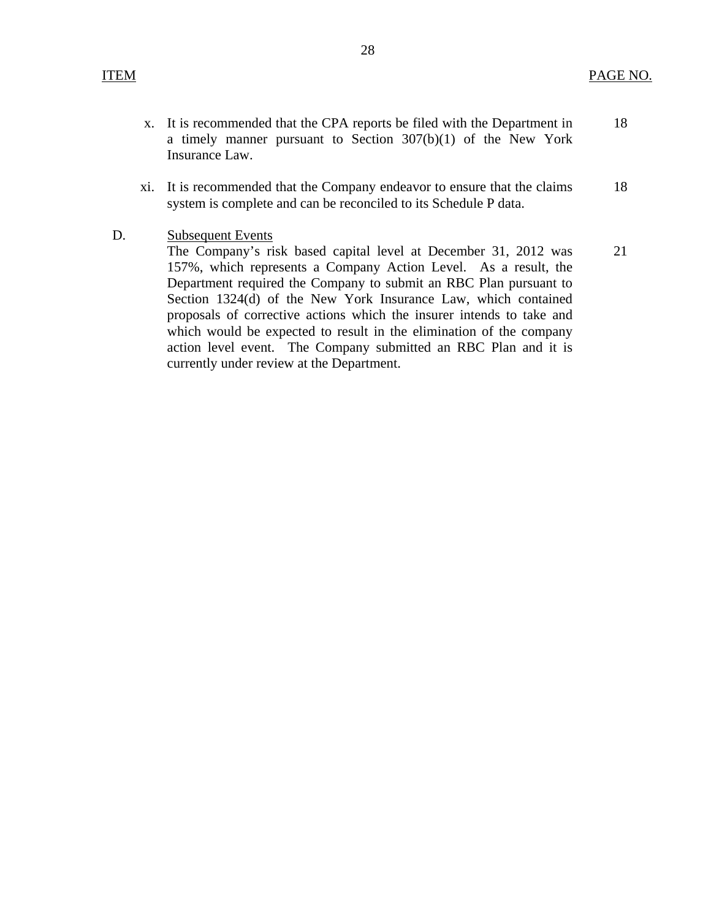- x. It is recommended that the CPA reports be filed with the Department in 18 a timely manner pursuant to Section 307(b)(1) of the New York Insurance Law.
- xi. It is recommended that the Company endeavor to ensure that the claims 18 system is complete and can be reconciled to its Schedule P data.
- D. Subsequent Events

The Company's risk based capital level at December 31, 2012 was 21 157%, which represents a Company Action Level. As a result, the Department required the Company to submit an RBC Plan pursuant to Section 1324(d) of the New York Insurance Law, which contained proposals of corrective actions which the insurer intends to take and which would be expected to result in the elimination of the company action level event. The Company submitted an RBC Plan and it is currently under review at the Department.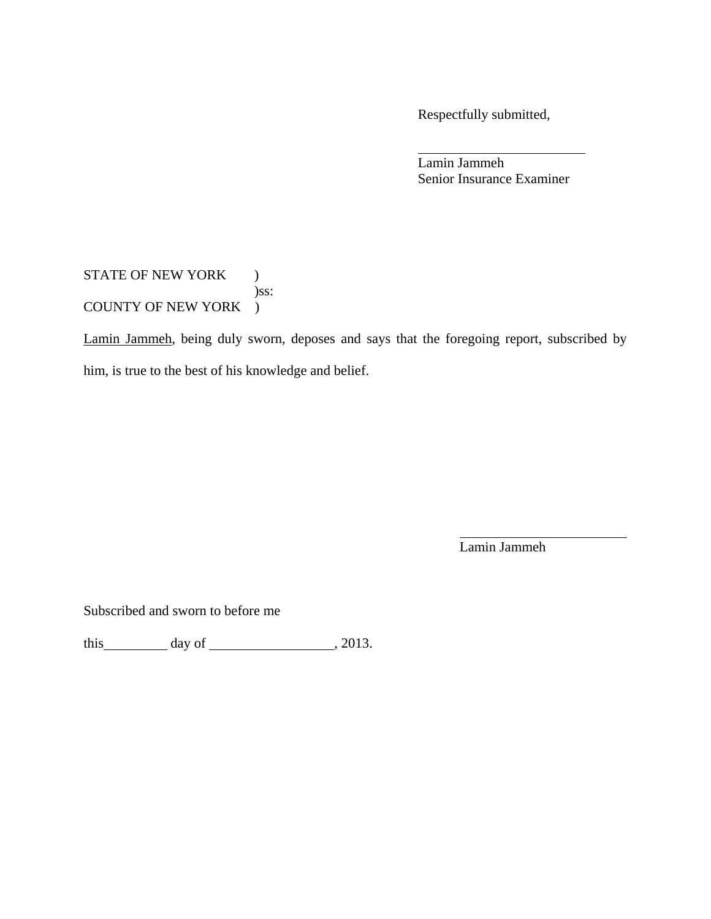Respectfully submitted,

 Lamin Jammeh Senior Insurance Examiner

STATE OF NEW YORK ) )ss: COUNTY OF NEW YORK )

Lamin Jammeh, being duly sworn, deposes and says that the foregoing report, subscribed by him, is true to the best of his knowledge and belief.

Lamin Jammeh

Subscribed and sworn to before me

this  $\qquad \qquad$  day of  $\qquad \qquad$  , 2013.